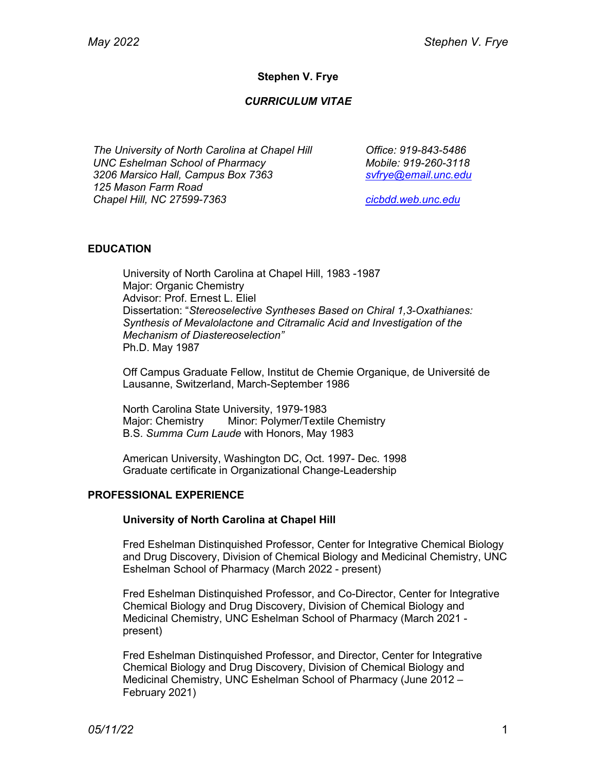## **Stephen V. Frye**

### *CURRICULUM VITAE*

*The University of North Carolina at Chapel Hill UNC Eshelman School of Pharmacy 3206 Marsico Hall, Campus Box 7363 125 Mason Farm Road Chapel Hill, NC 27599-7363*

*Office: 919-843-5486 Mobile: 919-260-3118 svfrye@email.unc.edu*

*cicbdd.web.unc.edu*

### **EDUCATION**

University of North Carolina at Chapel Hill, 1983 -1987 Major: Organic Chemistry Advisor: Prof. Ernest L. Eliel Dissertation: "*Stereoselective Syntheses Based on Chiral 1,3-Oxathianes: Synthesis of Mevalolactone and Citramalic Acid and Investigation of the Mechanism of Diastereoselection"* Ph.D. May 1987

Off Campus Graduate Fellow, Institut de Chemie Organique, de Université de Lausanne, Switzerland, March-September 1986

North Carolina State University, 1979-1983 Major: Chemistry Minor: Polymer/Textile Chemistry B.S. *Summa Cum Laude* with Honors, May 1983

American University, Washington DC, Oct. 1997- Dec. 1998 Graduate certificate in Organizational Change-Leadership

### **PROFESSIONAL EXPERIENCE**

#### **University of North Carolina at Chapel Hill**

Fred Eshelman Distinquished Professor, Center for Integrative Chemical Biology and Drug Discovery, Division of Chemical Biology and Medicinal Chemistry, UNC Eshelman School of Pharmacy (March 2022 - present)

Fred Eshelman Distinquished Professor, and Co-Director, Center for Integrative Chemical Biology and Drug Discovery, Division of Chemical Biology and Medicinal Chemistry, UNC Eshelman School of Pharmacy (March 2021 present)

Fred Eshelman Distinquished Professor, and Director, Center for Integrative Chemical Biology and Drug Discovery, Division of Chemical Biology and Medicinal Chemistry, UNC Eshelman School of Pharmacy (June 2012 – February 2021)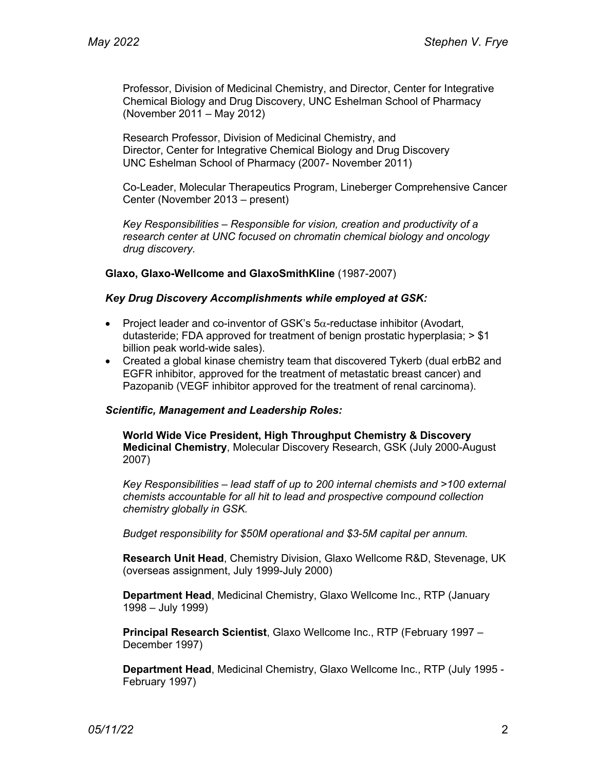Professor, Division of Medicinal Chemistry, and Director, Center for Integrative Chemical Biology and Drug Discovery, UNC Eshelman School of Pharmacy (November 2011 – May 2012)

Research Professor, Division of Medicinal Chemistry, and Director, Center for Integrative Chemical Biology and Drug Discovery UNC Eshelman School of Pharmacy (2007- November 2011)

Co-Leader, Molecular Therapeutics Program, Lineberger Comprehensive Cancer Center (November 2013 – present)

*Key Responsibilities – Responsible for vision, creation and productivity of a research center at UNC focused on chromatin chemical biology and oncology drug discovery.*

**Glaxo, Glaxo-Wellcome and GlaxoSmithKline** (1987-2007)

#### *Key Drug Discovery Accomplishments while employed at GSK:*

- Project leader and co-inventor of GSK's  $5\alpha$ -reductase inhibitor (Avodart, dutasteride; FDA approved for treatment of benign prostatic hyperplasia;  $>$  \$1 billion peak world-wide sales).
- Created a global kinase chemistry team that discovered Tykerb (dual erbB2 and EGFR inhibitor, approved for the treatment of metastatic breast cancer) and Pazopanib (VEGF inhibitor approved for the treatment of renal carcinoma).

### *Scientific, Management and Leadership Roles:*

**World Wide Vice President, High Throughput Chemistry & Discovery Medicinal Chemistry**, Molecular Discovery Research, GSK (July 2000-August 2007)

*Key Responsibilities – lead staff of up to 200 internal chemists and >100 external chemists accountable for all hit to lead and prospective compound collection chemistry globally in GSK.* 

*Budget responsibility for \$50M operational and \$3-5M capital per annum.*

**Research Unit Head**, Chemistry Division, Glaxo Wellcome R&D, Stevenage, UK (overseas assignment, July 1999-July 2000)

**Department Head**, Medicinal Chemistry, Glaxo Wellcome Inc., RTP (January 1998 – July 1999)

**Principal Research Scientist**, Glaxo Wellcome Inc., RTP (February 1997 – December 1997)

**Department Head**, Medicinal Chemistry, Glaxo Wellcome Inc., RTP (July 1995 - February 1997)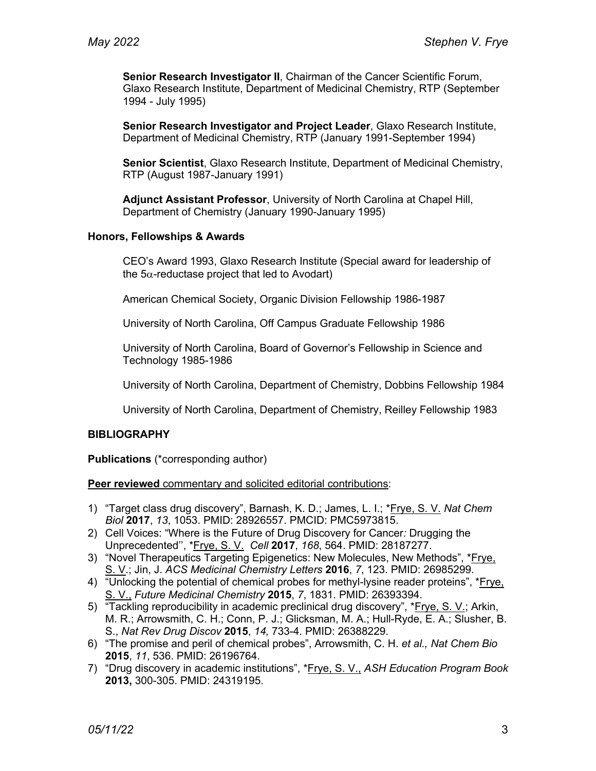**Senior Research Investigator II**, Chairman of the Cancer Scientific Forum, Glaxo Research Institute, Department of Medicinal Chemistry, RTP (September 1994 - July 1995)

**Senior Research Investigator and Project Leader**, Glaxo Research Institute, Department of Medicinal Chemistry, RTP (January 1991-September 1994)

**Senior Scientist**, Glaxo Research Institute, Department of Medicinal Chemistry, RTP (August 1987-January 1991)

**Adjunct Assistant Professor**, University of North Carolina at Chapel Hill, Department of Chemistry (January 1990-January 1995)

#### **Honors, Fellowships & Awards**

CEO's Award 1993, Glaxo Research Institute (Special award for leadership of the  $5\alpha$ -reductase project that led to Avodart)

American Chemical Society, Organic Division Fellowship 1986-1987

University of North Carolina, Off Campus Graduate Fellowship 1986

University of North Carolina, Board of Governor's Fellowship in Science and Technology 1985-1986

University of North Carolina, Department of Chemistry, Dobbins Fellowship 1984

University of North Carolina, Department of Chemistry, Reilley Fellowship 1983

### **BIBLIOGRAPHY**

**Publications** (\*corresponding author)

**Peer reviewed** commentary and solicited editorial contributions:

- 1) "Target class drug discovery", Barnash, K. D.; James, L. I.; \*Frye, S. V. *Nat Chem Biol* **2017**, *13*, 1053. PMID: 28926557. PMCID: PMC5973815.
- 2) Cell Voices: "Where is the Future of Drug Discovery for Cancer*:* Drugging the Unprecedented'', \*Frye, S. V. *Cell* **2017**, *168*, 564. PMID: 28187277.
- 3) "Novel Therapeutics Targeting Epigenetics: New Molecules, New Methods", \*Frye, S. V.; Jin, J. *ACS Medicinal Chemistry Letters* **2016**, *7*, 123. PMID: 26985299.
- 4) "Unlocking the potential of chemical probes for methyl-lysine reader proteins", \*Frye, S. V., *Future Medicinal Chemistry* **2015**, *7*, 1831. PMID: 26393394.
- 5) "Tackling reproducibility in academic preclinical drug discovery", \*Frye, S. V.; Arkin, M. R.; Arrowsmith, C. H.; Conn, P. J.; Glicksman, M. A.; Hull-Ryde, E. A.; Slusher, B. S., *Nat Rev Drug Discov* **2015**, *14,* 733-4. PMID: 26388229.
- 6) "The promise and peril of chemical probes", Arrowsmith, C. H. *et al., Nat Chem Bio* **2015**, *11*, 536. PMID: 26196764.
- 7) "Drug discovery in academic institutions", \*Frye, S. V., *ASH Education Program Book*  **2013,** 300-305. PMID: 24319195.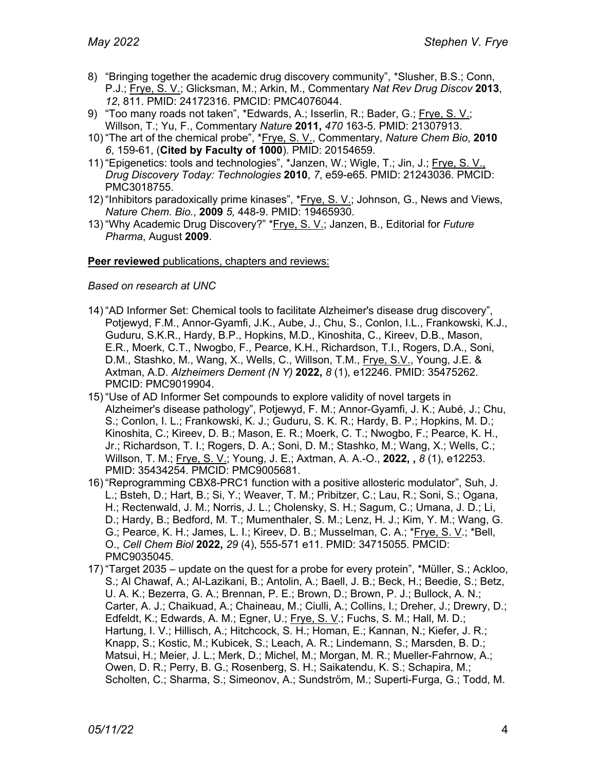- 8) "Bringing together the academic drug discovery community", \*Slusher, B.S.; Conn, P.J.; Frye, S. V.; Glicksman, M.; Arkin, M., Commentary *Nat Rev Drug Discov* **2013**, *12*, 811. PMID: 24172316. PMCID: PMC4076044.
- 9) "Too many roads not taken", \*Edwards, A.; Isserlin, R.; Bader, G.; Frye, S. V.; Willson, T.; Yu, F., Commentary *Nature* **2011,** *470* 163-5. PMID: 21307913.
- 10) "The art of the chemical probe", \*Frye, S. V., Commentary, *Nature Chem Bio*, **2010** *6*, 159-61, (**Cited by Faculty of 1000**). PMID: 20154659.
- 11) "Epigenetics: tools and technologies", \*Janzen, W.; Wigle, T.; Jin, J.; Frye, S. V., *Drug Discovery Today: Technologies* **2010**, *7*, e59-e65. PMID: 21243036. PMCID: PMC3018755.
- 12) "Inhibitors paradoxically prime kinases", \*Frye, S. V.; Johnson, G., News and Views, *Nature Chem. Bio.*, **2009** *5,* 448-9. PMID: 19465930.
- 13) "Why Academic Drug Discovery?" \*Frye, S. V.; Janzen, B., Editorial for *Future Pharma*, August **2009**.

### **Peer reviewed** publications, chapters and reviews:

#### *Based on research at UNC*

- 14) "AD Informer Set: Chemical tools to facilitate Alzheimer's disease drug discovery", Potjewyd, F.M., Annor-Gyamfi, J.K., Aube, J., Chu, S., Conlon, I.L., Frankowski, K.J., Guduru, S.K.R., Hardy, B.P., Hopkins, M.D., Kinoshita, C., Kireev, D.B., Mason, E.R., Moerk, C.T., Nwogbo, F., Pearce, K.H., Richardson, T.I., Rogers, D.A., Soni, D.M., Stashko, M., Wang, X., Wells, C., Willson, T.M., Frye, S.V., Young, J.E. & Axtman, A.D. *Alzheimers Dement (N Y)* **2022,** *8* (1), e12246. PMID: 35475262. PMCID: PMC9019904.
- 15) "Use of AD Informer Set compounds to explore validity of novel targets in Alzheimer's disease pathology", Potjewyd, F. M.; Annor-Gyamfi, J. K.; Aubé, J.; Chu, S.; Conlon, I. L.; Frankowski, K. J.; Guduru, S. K. R.; Hardy, B. P.; Hopkins, M. D.; Kinoshita, C.; Kireev, D. B.; Mason, E. R.; Moerk, C. T.; Nwogbo, F.; Pearce, K. H., Jr.; Richardson, T. I.; Rogers, D. A.; Soni, D. M.; Stashko, M.; Wang, X.; Wells, C.; Willson, T. M.; Frye, S. V.; Young, J. E.; Axtman, A. A.-O., **2022, ,** *8* (1), e12253. PMID: 35434254. PMCID: PMC9005681.
- 16) "Reprogramming CBX8-PRC1 function with a positive allosteric modulator", Suh, J. L.; Bsteh, D.; Hart, B.; Si, Y.; Weaver, T. M.; Pribitzer, C.; Lau, R.; Soni, S.; Ogana, H.; Rectenwald, J. M.; Norris, J. L.; Cholensky, S. H.; Sagum, C.; Umana, J. D.; Li, D.; Hardy, B.; Bedford, M. T.; Mumenthaler, S. M.; Lenz, H. J.; Kim, Y. M.; Wang, G. G.; Pearce, K. H.; James, L. I.; Kireev, D. B.; Musselman, C. A.; \*Frye, S. V.; \*Bell, O., *Cell Chem Biol* **2022,** *29* (4), 555-571 e11. PMID: 34715055. PMCID: PMC9035045.
- 17) "Target 2035 update on the quest for a probe for every protein", \*Müller, S.; Ackloo, S.; Al Chawaf, A.; Al-Lazikani, B.; Antolin, A.; Baell, J. B.; Beck, H.; Beedie, S.; Betz, U. A. K.; Bezerra, G. A.; Brennan, P. E.; Brown, D.; Brown, P. J.; Bullock, A. N.; Carter, A. J.; Chaikuad, A.; Chaineau, M.; Ciulli, A.; Collins, I.; Dreher, J.; Drewry, D.; Edfeldt, K.; Edwards, A. M.; Egner, U.; Frye, S. V.; Fuchs, S. M.; Hall, M. D.; Hartung, I. V.; Hillisch, A.; Hitchcock, S. H.; Homan, E.; Kannan, N.; Kiefer, J. R.; Knapp, S.; Kostic, M.; Kubicek, S.; Leach, A. R.; Lindemann, S.; Marsden, B. D.; Matsui, H.; Meier, J. L.; Merk, D.; Michel, M.; Morgan, M. R.; Mueller-Fahrnow, A.; Owen, D. R.; Perry, B. G.; Rosenberg, S. H.; Saikatendu, K. S.; Schapira, M.; Scholten, C.; Sharma, S.; Simeonov, A.; Sundström, M.; Superti-Furga, G.; Todd, M.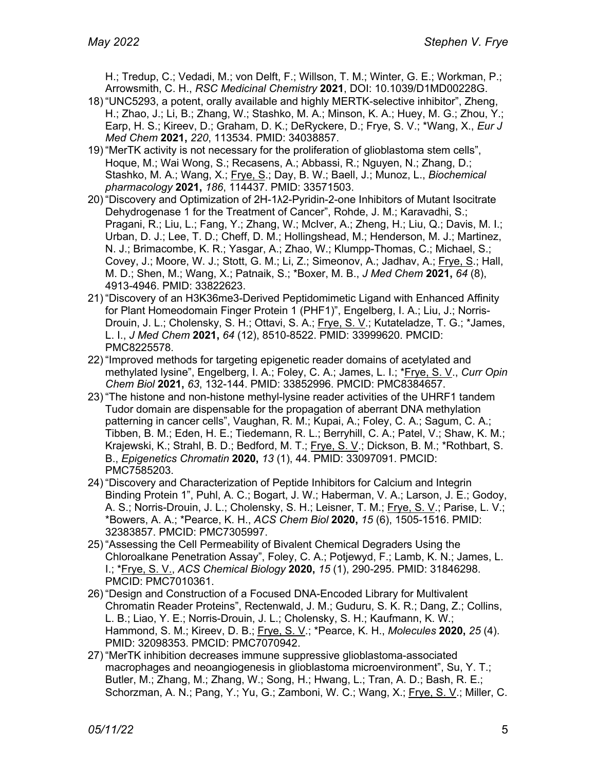H.; Tredup, C.; Vedadi, M.; von Delft, F.; Willson, T. M.; Winter, G. E.; Workman, P.; Arrowsmith, C. H., *RSC Medicinal Chemistry* **2021**, DOI: 10.1039/D1MD00228G.

- 18) "UNC5293, a potent, orally available and highly MERTK-selective inhibitor", Zheng, H.; Zhao, J.; Li, B.; Zhang, W.; Stashko, M. A.; Minson, K. A.; Huey, M. G.; Zhou, Y.; Earp, H. S.; Kireev, D.; Graham, D. K.; DeRyckere, D.; Frye, S. V.; \*Wang, X., *Eur J Med Chem* **2021,** *220*, 113534. PMID: 34038857.
- 19) "MerTK activity is not necessary for the proliferation of glioblastoma stem cells", Hoque, M.; Wai Wong, S.; Recasens, A.; Abbassi, R.; Nguyen, N.; Zhang, D.; Stashko, M. A.; Wang, X.; Frye, S.; Day, B. W.; Baell, J.; Munoz, L., *Biochemical pharmacology* **2021,** *186*, 114437. PMID: 33571503.
- 20) "Discovery and Optimization of 2H-1λ2-Pyridin-2-one Inhibitors of Mutant Isocitrate Dehydrogenase 1 for the Treatment of Cancer", Rohde, J. M.; Karavadhi, S.; Pragani, R.; Liu, L.; Fang, Y.; Zhang, W.; McIver, A.; Zheng, H.; Liu, Q.; Davis, M. I.; Urban, D. J.; Lee, T. D.; Cheff, D. M.; Hollingshead, M.; Henderson, M. J.; Martinez, N. J.; Brimacombe, K. R.; Yasgar, A.; Zhao, W.; Klumpp-Thomas, C.; Michael, S.; Covey, J.; Moore, W. J.; Stott, G. M.; Li, Z.; Simeonov, A.; Jadhav, A.; Frye, S.; Hall, M. D.; Shen, M.; Wang, X.; Patnaik, S.; \*Boxer, M. B., *J Med Chem* **2021,** *64* (8), 4913-4946. PMID: 33822623.
- 21) "Discovery of an H3K36me3-Derived Peptidomimetic Ligand with Enhanced Affinity for Plant Homeodomain Finger Protein 1 (PHF1)", Engelberg, I. A.; Liu, J.; Norris-Drouin, J. L.; Cholensky, S. H.; Ottavi, S. A.; Frye, S. V.; Kutateladze, T. G.; \*James, L. I., *J Med Chem* **2021,** *64* (12), 8510-8522. PMID: 33999620. PMCID: PMC8225578.
- 22) "Improved methods for targeting epigenetic reader domains of acetylated and methylated lysine", Engelberg, I. A.; Foley, C. A.; James, L. I.; \*Frye, S. V., *Curr Opin Chem Biol* **2021,** *63*, 132-144. PMID: 33852996. PMCID: PMC8384657.
- 23) "The histone and non-histone methyl-lysine reader activities of the UHRF1 tandem Tudor domain are dispensable for the propagation of aberrant DNA methylation patterning in cancer cells", Vaughan, R. M.; Kupai, A.; Foley, C. A.; Sagum, C. A.; Tibben, B. M.; Eden, H. E.; Tiedemann, R. L.; Berryhill, C. A.; Patel, V.; Shaw, K. M.; Krajewski, K.; Strahl, B. D.; Bedford, M. T.; Frye, S. V.; Dickson, B. M.; \*Rothbart, S. B., *Epigenetics Chromatin* **2020,** *13* (1), 44. PMID: 33097091. PMCID: PMC7585203.
- 24) "Discovery and Characterization of Peptide Inhibitors for Calcium and Integrin Binding Protein 1", Puhl, A. C.; Bogart, J. W.; Haberman, V. A.; Larson, J. E.; Godoy, A. S.; Norris-Drouin, J. L.; Cholensky, S. H.; Leisner, T. M.; Frye, S. V.; Parise, L. V.; \*Bowers, A. A.; \*Pearce, K. H., *ACS Chem Biol* **2020,** *15* (6), 1505-1516. PMID: 32383857. PMCID: PMC7305997.
- 25) "Assessing the Cell Permeability of Bivalent Chemical Degraders Using the Chloroalkane Penetration Assay", Foley, C. A.; Potjewyd, F.; Lamb, K. N.; James, L. I.; \*Frye, S. V., *ACS Chemical Biology* **2020,** *15* (1), 290-295. PMID: 31846298. PMCID: PMC7010361.
- 26) "Design and Construction of a Focused DNA-Encoded Library for Multivalent Chromatin Reader Proteins", Rectenwald, J. M.; Guduru, S. K. R.; Dang, Z.; Collins, L. B.; Liao, Y. E.; Norris-Drouin, J. L.; Cholensky, S. H.; Kaufmann, K. W.; Hammond, S. M.; Kireev, D. B.; Frye, S. V.; \*Pearce, K. H., *Molecules* **2020,** *25* (4). PMID: 32098353. PMCID: PMC7070942.
- 27) "MerTK inhibition decreases immune suppressive glioblastoma-associated macrophages and neoangiogenesis in glioblastoma microenvironment", Su, Y. T.; Butler, M.; Zhang, M.; Zhang, W.; Song, H.; Hwang, L.; Tran, A. D.; Bash, R. E.; Schorzman, A. N.; Pang, Y.; Yu, G.; Zamboni, W. C.; Wang, X.; Frye, S. V.; Miller, C.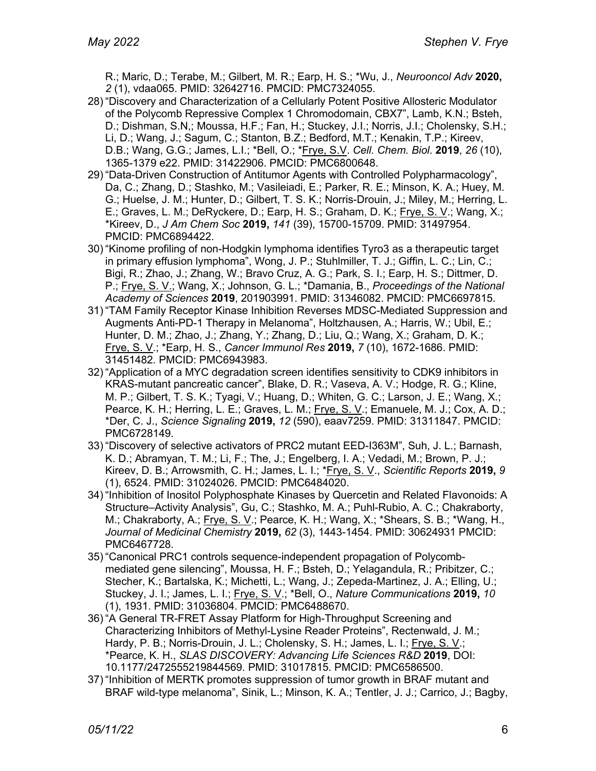R.; Maric, D.; Terabe, M.; Gilbert, M. R.; Earp, H. S.; \*Wu, J., *Neurooncol Adv* **2020,** *2* (1), vdaa065. PMID: 32642716. PMCID: PMC7324055.

- 28) "Discovery and Characterization of a Cellularly Potent Positive Allosteric Modulator of the Polycomb Repressive Complex 1 Chromodomain, CBX7", Lamb, K.N.; Bsteh, D.; Dishman, S.N,; Moussa, H.F.; Fan, H.; Stuckey, J.I.; Norris, J.I.; Cholensky, S.H.; Li, D.; Wang, J.; Sagum, C.; Stanton, B.Z.; Bedford, M.T.; Kenakin, T.P.; Kireev, D.B.; Wang, G.G.; James, L.I.; \*Bell, O.; \*Frye, S.V. *Cell. Chem. Biol*. **2019**, *26* (10), 1365-1379 e22. PMID: 31422906. PMCID: PMC6800648.
- 29) "Data-Driven Construction of Antitumor Agents with Controlled Polypharmacology", Da, C.; Zhang, D.; Stashko, M.; Vasileiadi, E.; Parker, R. E.; Minson, K. A.; Huey, M. G.; Huelse, J. M.; Hunter, D.; Gilbert, T. S. K.; Norris-Drouin, J.; Miley, M.; Herring, L. E.; Graves, L. M.; DeRyckere, D.; Earp, H. S.; Graham, D. K.; Frye, S. V.; Wang, X.; \*Kireev, D., *J Am Chem Soc* **2019,** *141* (39), 15700-15709. PMID: 31497954. PMCID: PMC6894422.
- 30) "Kinome profiling of non-Hodgkin lymphoma identifies Tyro3 as a therapeutic target in primary effusion lymphoma", Wong, J. P.; Stuhlmiller, T. J.; Giffin, L. C.; Lin, C.; Bigi, R.; Zhao, J.; Zhang, W.; Bravo Cruz, A. G.; Park, S. I.; Earp, H. S.; Dittmer, D. P.; Frye, S. V.; Wang, X.; Johnson, G. L.; \*Damania, B., *Proceedings of the National Academy of Sciences* **2019**, 201903991. PMID: 31346082. PMCID: PMC6697815.
- 31) "TAM Family Receptor Kinase Inhibition Reverses MDSC-Mediated Suppression and Augments Anti-PD-1 Therapy in Melanoma", Holtzhausen, A.; Harris, W.; Ubil, E.; Hunter, D. M.; Zhao, J.; Zhang, Y.; Zhang, D.; Liu, Q.; Wang, X.; Graham, D. K.; Frye, S. V.; \*Earp, H. S., *Cancer Immunol Res* **2019,** *7* (10), 1672-1686. PMID: 31451482. PMCID: PMC6943983.
- 32) "Application of a MYC degradation screen identifies sensitivity to CDK9 inhibitors in KRAS-mutant pancreatic cancer", Blake, D. R.; Vaseva, A. V.; Hodge, R. G.; Kline, M. P.; Gilbert, T. S. K.; Tyagi, V.; Huang, D.; Whiten, G. C.; Larson, J. E.; Wang, X.; Pearce, K. H.; Herring, L. E.; Graves, L. M.; Frye, S. V.; Emanuele, M. J.; Cox, A. D.; \*Der, C. J., *Science Signaling* **2019,** *12* (590), eaav7259. PMID: 31311847. PMCID: PMC6728149.
- 33) "Discovery of selective activators of PRC2 mutant EED-I363M", Suh, J. L.; Barnash, K. D.; Abramyan, T. M.; Li, F.; The, J.; Engelberg, I. A.; Vedadi, M.; Brown, P. J.; Kireev, D. B.; Arrowsmith, C. H.; James, L. I.; \*Frye, S. V., *Scientific Reports* **2019,** *9* (1), 6524. PMID: 31024026. PMCID: PMC6484020.
- 34) "Inhibition of Inositol Polyphosphate Kinases by Quercetin and Related Flavonoids: A Structure–Activity Analysis", Gu, C.; Stashko, M. A.; Puhl-Rubio, A. C.; Chakraborty, M.; Chakraborty, A.; Frye, S. V.; Pearce, K. H.; Wang, X.; \*Shears, S. B.; \*Wang, H., *Journal of Medicinal Chemistry* **2019,** *62* (3), 1443-1454. PMID: 30624931 PMCID: PMC6467728.
- 35) "Canonical PRC1 controls sequence-independent propagation of Polycombmediated gene silencing", Moussa, H. F.; Bsteh, D.; Yelagandula, R.; Pribitzer, C.; Stecher, K.; Bartalska, K.; Michetti, L.; Wang, J.; Zepeda-Martinez, J. A.; Elling, U.; Stuckey, J. I.; James, L. I.; Frye, S. V.; \*Bell, O., *Nature Communications* **2019,** *10* (1), 1931. PMID: 31036804. PMCID: PMC6488670.
- 36) "A General TR-FRET Assay Platform for High-Throughput Screening and Characterizing Inhibitors of Methyl-Lysine Reader Proteins", Rectenwald, J. M.; Hardy, P. B.; Norris-Drouin, J. L.; Cholensky, S. H.; James, L. I.; Frye, S. V.; \*Pearce, K. H., *SLAS DISCOVERY: Advancing Life Sciences R&D* **2019**, DOI: 10.1177/2472555219844569. PMID: 31017815. PMCID: PMC6586500.
- 37) "Inhibition of MERTK promotes suppression of tumor growth in BRAF mutant and BRAF wild-type melanoma", Sinik, L.; Minson, K. A.; Tentler, J. J.; Carrico, J.; Bagby,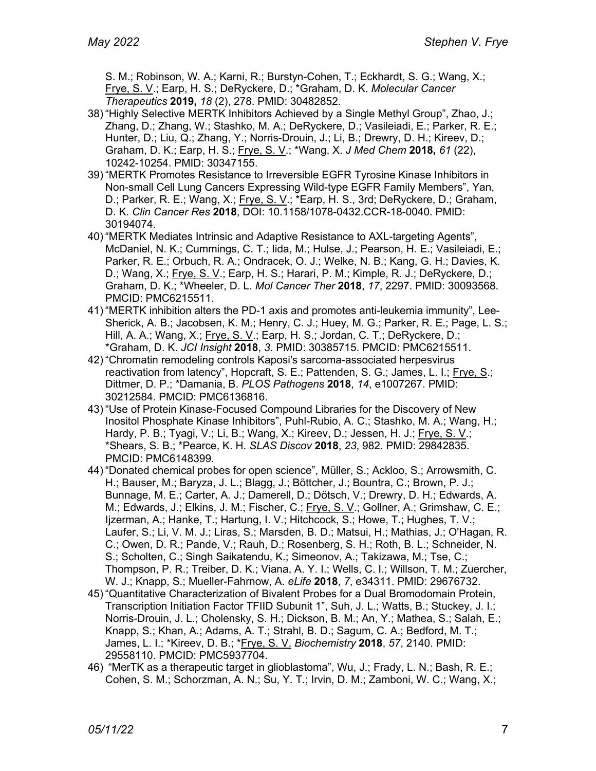S. M.; Robinson, W. A.; Karni, R.; Burstyn-Cohen, T.; Eckhardt, S. G.; Wang, X.; Frye, S. V.; Earp, H. S.; DeRyckere, D.; \*Graham, D. K. *Molecular Cancer Therapeutics* **2019,** *18* (2), 278. PMID: 30482852.

- 38) "Highly Selective MERTK Inhibitors Achieved by a Single Methyl Group", Zhao, J.; Zhang, D.; Zhang, W.; Stashko, M. A.; DeRyckere, D.; Vasileiadi, E.; Parker, R. E.; Hunter, D.; Liu, Q.; Zhang, Y.; Norris-Drouin, J.; Li, B.; Drewry, D. H.; Kireev, D.; Graham, D. K.; Earp, H. S.; Frye, S. V.; \*Wang, X. *J Med Chem* **2018,** *61* (22), 10242-10254. PMID: 30347155.
- 39) "MERTK Promotes Resistance to Irreversible EGFR Tyrosine Kinase Inhibitors in Non-small Cell Lung Cancers Expressing Wild-type EGFR Family Members", Yan, D.; Parker, R. E.; Wang, X.; Frye, S. V.; \*Earp, H. S., 3rd; DeRyckere, D.; Graham, D. K. *Clin Cancer Res* **2018**, DOI: 10.1158/1078-0432.CCR-18-0040. PMID: 30194074.
- 40) "MERTK Mediates Intrinsic and Adaptive Resistance to AXL-targeting Agents", McDaniel, N. K.; Cummings, C. T.; Iida, M.; Hulse, J.; Pearson, H. E.; Vasileiadi, E.; Parker, R. E.; Orbuch, R. A.; Ondracek, O. J.; Welke, N. B.; Kang, G. H.; Davies, K. D.; Wang, X.; Frye, S. V.; Earp, H. S.; Harari, P. M.; Kimple, R. J.; DeRyckere, D.; Graham, D. K.; \*Wheeler, D. L. *Mol Cancer Ther* **2018**, *17*, 2297. PMID: 30093568. PMCID: PMC6215511.
- 41) "MERTK inhibition alters the PD-1 axis and promotes anti-leukemia immunity", Lee-Sherick, A. B.; Jacobsen, K. M.; Henry, C. J.; Huey, M. G.; Parker, R. E.; Page, L. S.; Hill, A. A.; Wang, X.; Frye, S. V.; Earp, H. S.; Jordan, C. T.; DeRyckere, D.; \*Graham, D. K. *JCI Insight* **2018**, *3*. PMID: 30385715. PMCID: PMC6215511.
- 42) "Chromatin remodeling controls Kaposi's sarcoma-associated herpesvirus reactivation from latency", Hopcraft, S. E.; Pattenden, S. G.; James, L. I.; Frye, S.; Dittmer, D. P.; \*Damania, B. *PLOS Pathogens* **2018**, *14*, e1007267. PMID: 30212584. PMCID: PMC6136816.
- 43) "Use of Protein Kinase-Focused Compound Libraries for the Discovery of New Inositol Phosphate Kinase Inhibitors", Puhl-Rubio, A. C.; Stashko, M. A.; Wang, H.; Hardy, P. B.; Tyagi, V.; Li, B.; Wang, X.; Kireev, D.; Jessen, H. J.; Frye, S. V.; \*Shears, S. B.; \*Pearce, K. H. *SLAS Discov* **2018**, *23*, 982. PMID: 29842835. PMCID: PMC6148399.
- 44) "Donated chemical probes for open science", Müller, S.; Ackloo, S.; Arrowsmith, C. H.; Bauser, M.; Baryza, J. L.; Blagg, J.; Böttcher, J.; Bountra, C.; Brown, P. J.; Bunnage, M. E.; Carter, A. J.; Damerell, D.; Dötsch, V.; Drewry, D. H.; Edwards, A. M.; Edwards, J.; Elkins, J. M.; Fischer, C.; Frye, S. V.; Gollner, A.; Grimshaw, C. E.; Ijzerman, A.; Hanke, T.; Hartung, I. V.; Hitchcock, S.; Howe, T.; Hughes, T. V.; Laufer, S.; Li, V. M. J.; Liras, S.; Marsden, B. D.; Matsui, H.; Mathias, J.; O'Hagan, R. C.; Owen, D. R.; Pande, V.; Rauh, D.; Rosenberg, S. H.; Roth, B. L.; Schneider, N. S.; Scholten, C.; Singh Saikatendu, K.; Simeonov, A.; Takizawa, M.; Tse, C.; Thompson, P. R.; Treiber, D. K.; Viana, A. Y. I.; Wells, C. I.; Willson, T. M.; Zuercher, W. J.; Knapp, S.; Mueller-Fahrnow, A. *eLife* **2018**, *7*, e34311. PMID: 29676732.
- 45) "Quantitative Characterization of Bivalent Probes for a Dual Bromodomain Protein, Transcription Initiation Factor TFIID Subunit 1", Suh, J. L.; Watts, B.; Stuckey, J. I.; Norris-Drouin, J. L.; Cholensky, S. H.; Dickson, B. M.; An, Y.; Mathea, S.; Salah, E.; Knapp, S.; Khan, A.; Adams, A. T.; Strahl, B. D.; Sagum, C. A.; Bedford, M. T.; James, L. I.; \*Kireev, D. B.; \*Frye, S. V. *Biochemistry* **2018**, *57*, 2140. PMID: 29558110. PMCID: PMC5937704.
- 46) "MerTK as a therapeutic target in glioblastoma", Wu, J.; Frady, L. N.; Bash, R. E.; Cohen, S. M.; Schorzman, A. N.; Su, Y. T.; Irvin, D. M.; Zamboni, W. C.; Wang, X.;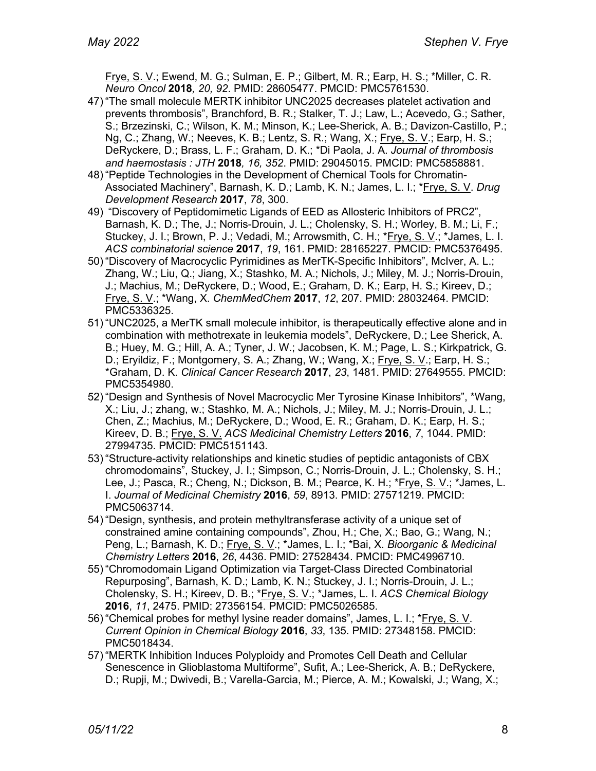Frye, S. V.; Ewend, M. G.; Sulman, E. P.; Gilbert, M. R.; Earp, H. S.; \*Miller, C. R. *Neuro Oncol* **2018***, 20, 92*. PMID: 28605477. PMCID: PMC5761530.

- 47) "The small molecule MERTK inhibitor UNC2025 decreases platelet activation and prevents thrombosis", Branchford, B. R.; Stalker, T. J.; Law, L.; Acevedo, G.; Sather, S.; Brzezinski, C.; Wilson, K. M.; Minson, K.; Lee-Sherick, A. B.; Davizon-Castillo, P.; Ng, C.; Zhang, W.; Neeves, K. B.; Lentz, S. R.; Wang, X.; Frye, S. V.; Earp, H. S.; DeRyckere, D.; Brass, L. F.; Graham, D. K.; \*Di Paola, J. A. *Journal of thrombosis and haemostasis : JTH* **2018***, 16, 352*. PMID: 29045015. PMCID: PMC5858881.
- 48) "Peptide Technologies in the Development of Chemical Tools for Chromatin-Associated Machinery", Barnash, K. D.; Lamb, K. N.; James, L. I.; \*Frye, S. V. *Drug Development Research* **2017**, *78*, 300.
- 49) "Discovery of Peptidomimetic Ligands of EED as Allosteric Inhibitors of PRC2", Barnash, K. D.; The, J.; Norris-Drouin, J. L.; Cholensky, S. H.; Worley, B. M.; Li, F.; Stuckey, J. I.; Brown, P. J.; Vedadi, M.; Arrowsmith, C. H.; \*Frye, S. V.; \*James, L. I. *ACS combinatorial science* **2017**, *19*, 161. PMID: 28165227. PMCID: PMC5376495.
- 50) "Discovery of Macrocyclic Pyrimidines as MerTK-Specific Inhibitors", McIver, A. L.; Zhang, W.; Liu, Q.; Jiang, X.; Stashko, M. A.; Nichols, J.; Miley, M. J.; Norris-Drouin, J.; Machius, M.; DeRyckere, D.; Wood, E.; Graham, D. K.; Earp, H. S.; Kireev, D.; Frye, S. V.; \*Wang, X. *ChemMedChem* **2017**, *12*, 207. PMID: 28032464. PMCID: PMC5336325.
- 51) "UNC2025, a MerTK small molecule inhibitor, is therapeutically effective alone and in combination with methotrexate in leukemia models", DeRyckere, D.; Lee Sherick, A. B.; Huey, M. G.; Hill, A. A.; Tyner, J. W.; Jacobsen, K. M.; Page, L. S.; Kirkpatrick, G. D.; Eryildiz, F.; Montgomery, S. A.; Zhang, W.; Wang, X.; Frye, S. V.; Earp, H. S.; \*Graham, D. K. *Clinical Cancer Research* **2017**, *23*, 1481. PMID: 27649555. PMCID: PMC5354980.
- 52) "Design and Synthesis of Novel Macrocyclic Mer Tyrosine Kinase Inhibitors", \*Wang, X.; Liu, J.; zhang, w.; Stashko, M. A.; Nichols, J.; Miley, M. J.; Norris-Drouin, J. L.; Chen, Z.; Machius, M.; DeRyckere, D.; Wood, E. R.; Graham, D. K.; Earp, H. S.; Kireev, D. B.; Frye, S. V. *ACS Medicinal Chemistry Letters* **2016**, *7*, 1044. PMID: 27994735. PMCID: PMC5151143.
- 53) "Structure-activity relationships and kinetic studies of peptidic antagonists of CBX chromodomains", Stuckey, J. I.; Simpson, C.; Norris-Drouin, J. L.; Cholensky, S. H.; Lee, J.; Pasca, R.; Cheng, N.; Dickson, B. M.; Pearce, K. H.; \*Frye, S. V.; \*James, L. I. *Journal of Medicinal Chemistry* **2016**, *59*, 8913. PMID: 27571219. PMCID: PMC5063714.
- 54) "Design, synthesis, and protein methyltransferase activity of a unique set of constrained amine containing compounds", Zhou, H.; Che, X.; Bao, G.; Wang, N.; Peng, L.; Barnash, K. D.; Frye, S. V.; \*James, L. I.; \*Bai, X. *Bioorganic & Medicinal Chemistry Letters* **2016**, *26*, 4436. PMID: 27528434. PMCID: PMC4996710.
- 55) "Chromodomain Ligand Optimization via Target-Class Directed Combinatorial Repurposing", Barnash, K. D.; Lamb, K. N.; Stuckey, J. I.; Norris-Drouin, J. L.; Cholensky, S. H.; Kireev, D. B.; \*Frye, S. V.; \*James, L. I. *ACS Chemical Biology* **2016**, *11*, 2475. PMID: 27356154. PMCID: PMC5026585.
- 56) "Chemical probes for methyl lysine reader domains", James, L. I.; \*Frye, S. V. *Current Opinion in Chemical Biology* **2016**, *33*, 135. PMID: 27348158. PMCID: PMC5018434.
- 57) "MERTK Inhibition Induces Polyploidy and Promotes Cell Death and Cellular Senescence in Glioblastoma Multiforme", Sufit, A.; Lee-Sherick, A. B.; DeRyckere, D.; Rupji, M.; Dwivedi, B.; Varella-Garcia, M.; Pierce, A. M.; Kowalski, J.; Wang, X.;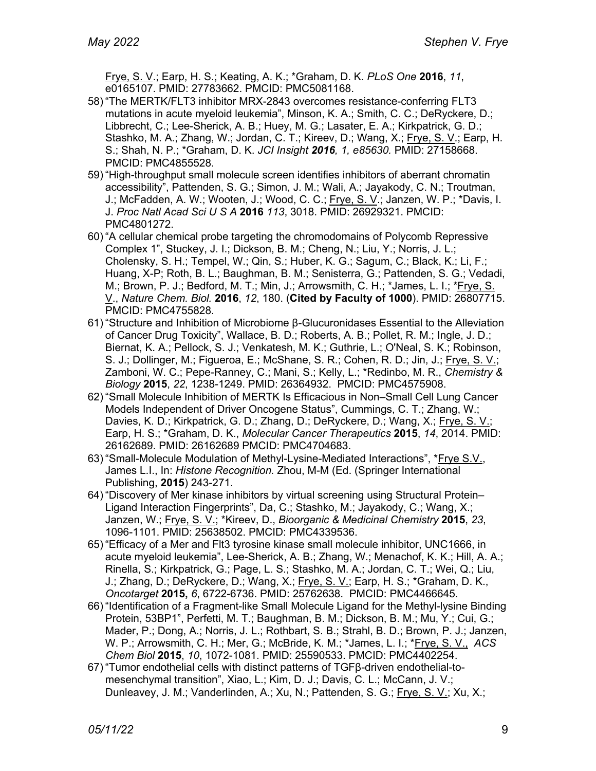Frye, S. V.; Earp, H. S.; Keating, A. K.; \*Graham, D. K. *PLoS One* **2016**, *11*, e0165107. PMID: 27783662. PMCID: PMC5081168.

- 58) "The MERTK/FLT3 inhibitor MRX-2843 overcomes resistance-conferring FLT3 mutations in acute myeloid leukemia", Minson, K. A.; Smith, C. C.; DeRyckere, D.; Libbrecht, C.; Lee-Sherick, A. B.; Huey, M. G.; Lasater, E. A.; Kirkpatrick, G. D.; Stashko, M. A.; Zhang, W.; Jordan, C. T.; Kireev, D.; Wang, X.; Frye, S. V.; Earp, H. S.; Shah, N. P.; \*Graham, D. K. *JCI Insight 2016, 1, e85630.* PMID: 27158668. PMCID: PMC4855528.
- 59) "High-throughput small molecule screen identifies inhibitors of aberrant chromatin accessibility", Pattenden, S. G.; Simon, J. M.; Wali, A.; Jayakody, C. N.; Troutman, J.; McFadden, A. W.; Wooten, J.; Wood, C. C.; Frye, S. V.; Janzen, W. P.; \*Davis, I. J. *Proc Natl Acad Sci U S A* **2016** *113*, 3018. PMID: 26929321. PMCID: PMC4801272.
- 60) "A cellular chemical probe targeting the chromodomains of Polycomb Repressive Complex 1", Stuckey, J. I.; Dickson, B. M.; Cheng, N.; Liu, Y.; Norris, J. L.; Cholensky, S. H.; Tempel, W.; Qin, S.; Huber, K. G.; Sagum, C.; Black, K.; Li, F.; Huang, X-P; Roth, B. L.; Baughman, B. M.; Senisterra, G.; Pattenden, S. G.; Vedadi, M.; Brown, P. J.; Bedford, M. T.; Min, J.; Arrowsmith, C. H.; \*James, L. I.; \*Frye, S. V., *Nature Chem. Biol.* **2016**, *12*, 180. (**Cited by Faculty of 1000**). PMID: 26807715. PMCID: PMC4755828.
- 61) "Structure and Inhibition of Microbiome β-Glucuronidases Essential to the Alleviation of Cancer Drug Toxicity", Wallace, B. D.; Roberts, A. B.; Pollet, R. M.; Ingle, J. D.; Biernat, K. A.; Pellock, S. J.; Venkatesh, M. K.; Guthrie, L.; O'Neal, S. K.; Robinson, S. J.; Dollinger, M.; Figueroa, E.; McShane, S. R.; Cohen, R. D.; Jin, J.; Frye, S. V.; Zamboni, W. C.; Pepe-Ranney, C.; Mani, S.; Kelly, L.; \*Redinbo, M. R., *Chemistry & Biology* **2015**, *22*, 1238-1249. PMID: 26364932. PMCID: PMC4575908.
- 62) "Small Molecule Inhibition of MERTK Is Efficacious in Non–Small Cell Lung Cancer Models Independent of Driver Oncogene Status", Cummings, C. T.; Zhang, W.; Davies, K. D.; Kirkpatrick, G. D.; Zhang, D.; DeRyckere, D.; Wang, X.; Frye, S. V.; Earp, H. S.; \*Graham, D. K., *Molecular Cancer Therapeutics* **2015**, *14*, 2014. PMID: 26162689. PMID: 26162689 PMCID: PMC4704683.
- 63) "Small-Molecule Modulation of Methyl-Lysine-Mediated Interactions", \*Frye S.V., James L.I., In: *Histone Recognition.* Zhou, M-M (Ed. (Springer International Publishing, **2015**) 243-271.
- 64) "Discovery of Mer kinase inhibitors by virtual screening using Structural Protein– Ligand Interaction Fingerprints", Da, C.; Stashko, M.; Jayakody, C.; Wang, X.; Janzen, W.; Frye, S. V.; \*Kireev, D., *Bioorganic & Medicinal Chemistry* **2015**, *23*, 1096-1101. PMID: 25638502. PMCID: PMC4339536.
- 65) "Efficacy of a Mer and Flt3 tyrosine kinase small molecule inhibitor, UNC1666, in acute myeloid leukemia", Lee-Sherick, A. B.; Zhang, W.; Menachof, K. K.; Hill, A. A.; Rinella, S.; Kirkpatrick, G.; Page, L. S.; Stashko, M. A.; Jordan, C. T.; Wei, Q.; Liu, J.; Zhang, D.; DeRyckere, D.; Wang, X.; Frye, S. V.; Earp, H. S.; \*Graham, D. K., *Oncotarget* **2015,** *6*, 6722-6736. PMID: 25762638. PMCID: PMC4466645.
- 66) "Identification of a Fragment-like Small Molecule Ligand for the Methyl-lysine Binding Protein, 53BP1", Perfetti, M. T.; Baughman, B. M.; Dickson, B. M.; Mu, Y.; Cui, G.; Mader, P.; Dong, A.; Norris, J. L.; Rothbart, S. B.; Strahl, B. D.; Brown, P. J.; Janzen, W. P.; Arrowsmith, C. H.; Mer, G.; McBride, K. M.; \*James, L. I.; \*Frye, S. V., *ACS Chem Biol* **2015**, *10*, 1072-1081. PMID: 25590533. PMCID: PMC4402254.
- 67) "Tumor endothelial cells with distinct patterns of TGFβ-driven endothelial-tomesenchymal transition", Xiao, L.; Kim, D. J.; Davis, C. L.; McCann, J. V.; Dunleavey, J. M.; Vanderlinden, A.; Xu, N.; Pattenden, S. G.; Frye, S. V.; Xu, X.;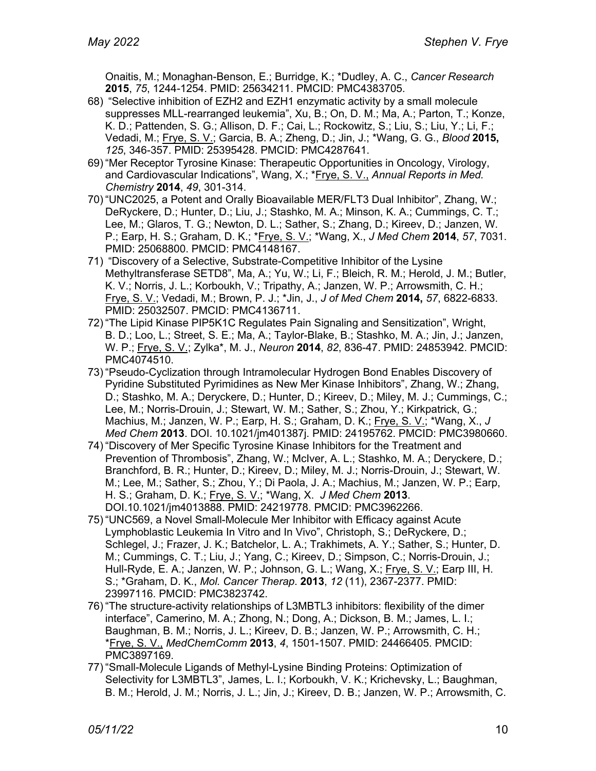Onaitis, M.; Monaghan-Benson, E.; Burridge, K.; \*Dudley, A. C., *Cancer Research*  **2015**, *75*, 1244-1254. PMID: 25634211. PMCID: PMC4383705.

- 68) "Selective inhibition of EZH2 and EZH1 enzymatic activity by a small molecule suppresses MLL-rearranged leukemia", Xu, B.; On, D. M.; Ma, A.; Parton, T.; Konze, K. D.; Pattenden, S. G.; Allison, D. F.; Cai, L.; Rockowitz, S.; Liu, S.; Liu, Y.; Li, F.; Vedadi, M.; Frye, S. V.; Garcia, B. A.; Zheng, D.; Jin, J.; \*Wang, G. G., *Blood* **2015,** *125*, 346-357. PMID: 25395428. PMCID: PMC4287641.
- 69) "Mer Receptor Tyrosine Kinase: Therapeutic Opportunities in Oncology, Virology, and Cardiovascular Indications", Wang, X.; \*Frye, S. V., *Annual Reports in Med. Chemistry* **2014**, *49*, 301-314.
- 70) "UNC2025, a Potent and Orally Bioavailable MER/FLT3 Dual Inhibitor", Zhang, W.; DeRyckere, D.; Hunter, D.; Liu, J.; Stashko, M. A.; Minson, K. A.; Cummings, C. T.; Lee, M.; Glaros, T. G.; Newton, D. L.; Sather, S.; Zhang, D.; Kireev, D.; Janzen, W. P.; Earp, H. S.; Graham, D. K.; \*Frye, S. V.; \*Wang, X., *J Med Chem* **2014**, *57*, 7031. PMID: 25068800. PMCID: PMC4148167.
- 71) "Discovery of a Selective, Substrate-Competitive Inhibitor of the Lysine Methyltransferase SETD8", Ma, A.; Yu, W.; Li, F.; Bleich, R. M.; Herold, J. M.; Butler, K. V.; Norris, J. L.; Korboukh, V.; Tripathy, A.; Janzen, W. P.; Arrowsmith, C. H.; Frye, S. V.; Vedadi, M.; Brown, P. J.; \*Jin, J., *J of Med Chem* **2014,** *57*, 6822-6833. PMID: 25032507. PMCID: PMC4136711.
- 72) "The Lipid Kinase PIP5K1C Regulates Pain Signaling and Sensitization", Wright, B. D.; Loo, L.; Street, S. E.; Ma, A.; Taylor-Blake, B.; Stashko, M. A.; Jin, J.; Janzen, W. P.; Frye, S. V.; Zylka\*, M. J., *Neuron* **2014**, *82*, 836-47. PMID: 24853942. PMCID: PMC4074510.
- 73) "Pseudo-Cyclization through Intramolecular Hydrogen Bond Enables Discovery of Pyridine Substituted Pyrimidines as New Mer Kinase Inhibitors", Zhang, W.; Zhang, D.; Stashko, M. A.; Deryckere, D.; Hunter, D.; Kireev, D.; Miley, M. J.; Cummings, C.; Lee, M.; Norris-Drouin, J.; Stewart, W. M.; Sather, S.; Zhou, Y.; Kirkpatrick, G.; Machius, M.; Janzen, W. P.; Earp, H. S.; Graham, D. K.; Frye, S. V.; \*Wang, X., *J Med Chem* **2013**. DOI. 10.1021/jm401387j. PMID: 24195762. PMCID: PMC3980660.
- 74) "Discovery of Mer Specific Tyrosine Kinase Inhibitors for the Treatment and Prevention of Thrombosis", Zhang, W.; McIver, A. L.; Stashko, M. A.; Deryckere, D.; Branchford, B. R.; Hunter, D.; Kireev, D.; Miley, M. J.; Norris-Drouin, J.; Stewart, W. M.; Lee, M.; Sather, S.; Zhou, Y.; Di Paola, J. A.; Machius, M.; Janzen, W. P.; Earp, H. S.; Graham, D. K.; Frye, S. V.; \*Wang, X. *J Med Chem* **2013**. DOI.10.1021/jm4013888. PMID: 24219778. PMCID: PMC3962266.
- 75) "UNC569, a Novel Small-Molecule Mer Inhibitor with Efficacy against Acute Lymphoblastic Leukemia In Vitro and In Vivo", Christoph, S.; DeRyckere, D.; Schlegel, J.; Frazer, J. K.; Batchelor, L. A.; Trakhimets, A. Y.; Sather, S.; Hunter, D. M.; Cummings, C. T.; Liu, J.; Yang, C.; Kireev, D.; Simpson, C.; Norris-Drouin, J.; Hull-Ryde, E. A.; Janzen, W. P.; Johnson, G. L.; Wang, X.; Frye, S. V.; Earp III, H. S.; \*Graham, D. K., *Mol. Cancer Therap*. **2013**, *12* (11), 2367-2377. PMID: 23997116. PMCID: PMC3823742.
- 76) "The structure-activity relationships of L3MBTL3 inhibitors: flexibility of the dimer interface", Camerino, M. A.; Zhong, N.; Dong, A.; Dickson, B. M.; James, L. I.; Baughman, B. M.; Norris, J. L.; Kireev, D. B.; Janzen, W. P.; Arrowsmith, C. H.; \*Frye, S. V., *MedChemComm* **2013**, *4*, 1501-1507. PMID: 24466405. PMCID: PMC3897169.
- 77) "Small-Molecule Ligands of Methyl-Lysine Binding Proteins: Optimization of Selectivity for L3MBTL3", James, L. I.; Korboukh, V. K.; Krichevsky, L.; Baughman, B. M.; Herold, J. M.; Norris, J. L.; Jin, J.; Kireev, D. B.; Janzen, W. P.; Arrowsmith, C.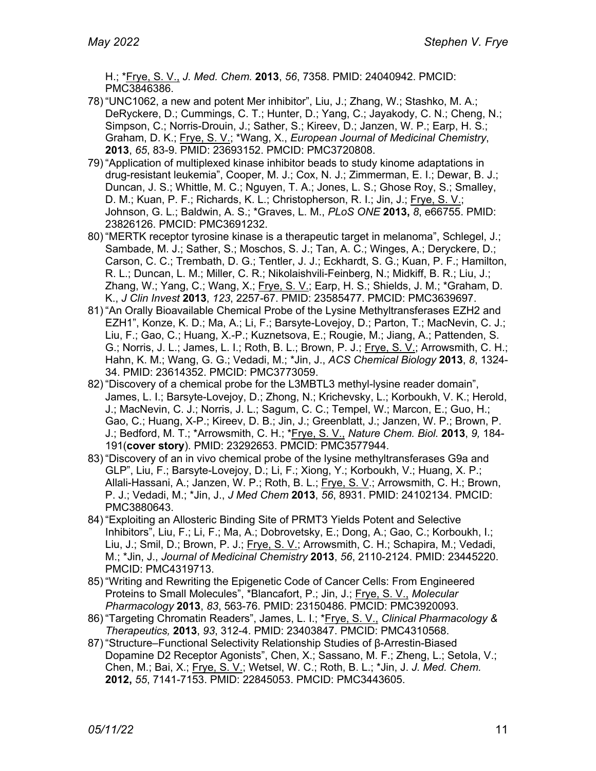H.; \*Frye, S. V., *J. Med. Chem.* **2013**, *56*, 7358. PMID: 24040942. PMCID: PMC3846386.

- 78) "UNC1062, a new and potent Mer inhibitor", Liu, J.; Zhang, W.; Stashko, M. A.; DeRyckere, D.; Cummings, C. T.; Hunter, D.; Yang, C.; Jayakody, C. N.; Cheng, N.; Simpson, C.; Norris-Drouin, J.; Sather, S.; Kireev, D.; Janzen, W. P.; Earp, H. S.; Graham, D. K.; Frye, S. V.; \*Wang, X., *European Journal of Medicinal Chemistry*, **2013**, *65*, 83-9. PMID: 23693152. PMCID: PMC3720808.
- 79) "Application of multiplexed kinase inhibitor beads to study kinome adaptations in drug-resistant leukemia", Cooper, M. J.; Cox, N. J.; Zimmerman, E. I.; Dewar, B. J.; Duncan, J. S.; Whittle, M. C.; Nguyen, T. A.; Jones, L. S.; Ghose Roy, S.; Smalley, D. M.; Kuan, P. F.; Richards, K. L.; Christopherson, R. I.; Jin, J.; Frye, S. V.; Johnson, G. L.; Baldwin, A. S.; \*Graves, L. M., *PLoS ONE* **2013,** *8*, e66755. PMID: 23826126. PMCID: PMC3691232.
- 80) "MERTK receptor tyrosine kinase is a therapeutic target in melanoma", Schlegel, J.; Sambade, M. J.; Sather, S.; Moschos, S. J.; Tan, A. C.; Winges, A.; Deryckere, D.; Carson, C. C.; Trembath, D. G.; Tentler, J. J.; Eckhardt, S. G.; Kuan, P. F.; Hamilton, R. L.; Duncan, L. M.; Miller, C. R.; Nikolaishvili-Feinberg, N.; Midkiff, B. R.; Liu, J.; Zhang, W.; Yang, C.; Wang, X.; Frye, S. V.; Earp, H. S.; Shields, J. M.; \*Graham, D. K., *J Clin Invest* **2013**, *123*, 2257-67. PMID: 23585477. PMCID: PMC3639697.
- 81) "An Orally Bioavailable Chemical Probe of the Lysine Methyltransferases EZH2 and EZH1", Konze, K. D.; Ma, A.; Li, F.; Barsyte-Lovejoy, D.; Parton, T.; MacNevin, C. J.; Liu, F.; Gao, C.; Huang, X.-P.; Kuznetsova, E.; Rougie, M.; Jiang, A.; Pattenden, S. G.; Norris, J. L.; James, L. I.; Roth, B. L.; Brown, P. J.; Frye, S. V.; Arrowsmith, C. H.; Hahn, K. M.; Wang, G. G.; Vedadi, M.; \*Jin, J., *ACS Chemical Biology* **2013**, *8*, 1324- 34. PMID: 23614352. PMCID: PMC3773059.
- 82) "Discovery of a chemical probe for the L3MBTL3 methyl-lysine reader domain", James, L. I.; Barsyte-Lovejoy, D.; Zhong, N.; Krichevsky, L.; Korboukh, V. K.; Herold, J.; MacNevin, C. J.; Norris, J. L.; Sagum, C. C.; Tempel, W.; Marcon, E.; Guo, H.; Gao, C.; Huang, X-P.; Kireev, D. B.; Jin, J.; Greenblatt, J.; Janzen, W. P.; Brown, P. J.; Bedford, M. T.; \*Arrowsmith, C. H.; \*Frye, S. V., *Nature Chem. Biol.* **2013**, *9,* 184- 191(**cover story**). PMID: 23292653. PMCID: PMC3577944.
- 83) "Discovery of an in vivo chemical probe of the lysine methyltransferases G9a and GLP", Liu, F.; Barsyte-Lovejoy, D.; Li, F.; Xiong, Y.; Korboukh, V.; Huang, X. P.; Allali-Hassani, A.; Janzen, W. P.; Roth, B. L.; Frye, S. V.; Arrowsmith, C. H.; Brown, P. J.; Vedadi, M.; \*Jin, J., *J Med Chem* **2013**, *56*, 8931. PMID: 24102134. PMCID: PMC3880643.
- 84) "Exploiting an Allosteric Binding Site of PRMT3 Yields Potent and Selective Inhibitors", Liu, F.; Li, F.; Ma, A.; Dobrovetsky, E.; Dong, A.; Gao, C.; Korboukh, I.; Liu, J.; Smil, D.; Brown, P. J.; Frye, S. V.; Arrowsmith, C. H.; Schapira, M.; Vedadi, M.; \*Jin, J., *Journal of Medicinal Chemistry* **2013**, *56*, 2110-2124. PMID: 23445220. PMCID: PMC4319713.
- 85) "Writing and Rewriting the Epigenetic Code of Cancer Cells: From Engineered Proteins to Small Molecules", \*Blancafort, P.; Jin, J.; Frye, S. V., *Molecular Pharmacology* **2013**, *83*, 563-76. PMID: 23150486. PMCID: PMC3920093.
- 86) "Targeting Chromatin Readers", James, L. I.; \*Frye, S. V., *Clinical Pharmacology & Therapeutics,* **2013**, *93*, 312-4. PMID: 23403847. PMCID: PMC4310568.
- 87) "Structure–Functional Selectivity Relationship Studies of β-Arrestin-Biased Dopamine D2 Receptor Agonists", Chen, X.; Sassano, M. F.; Zheng, L.; Setola, V.; Chen, M.; Bai, X.; Frye, S. V.; Wetsel, W. C.; Roth, B. L.; \*Jin, J. *J. Med. Chem.* **2012,** *55*, 7141-7153. PMID: 22845053. PMCID: PMC3443605.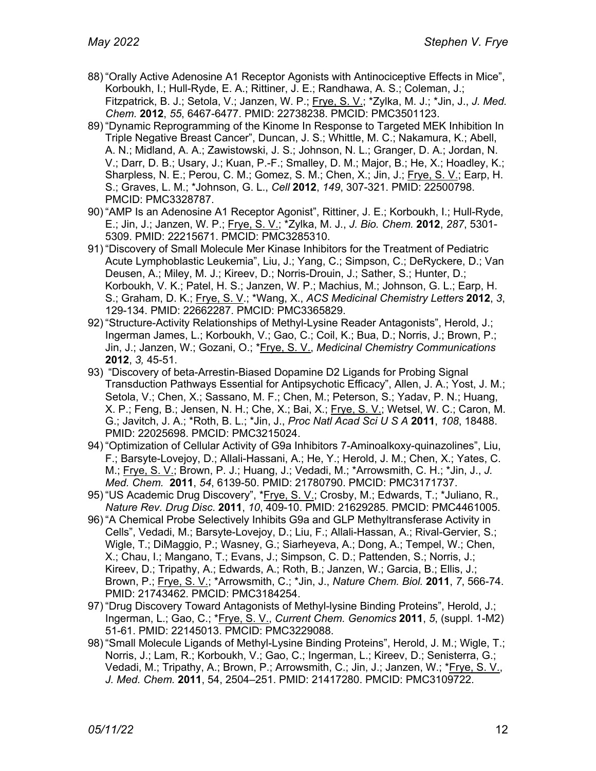- 88) "Orally Active Adenosine A1 Receptor Agonists with Antinociceptive Effects in Mice", Korboukh, I.; Hull-Ryde, E. A.; Rittiner, J. E.; Randhawa, A. S.; Coleman, J.; Fitzpatrick, B. J.; Setola, V.; Janzen, W. P.; Frye, S. V.; \*Zylka, M. J.; \*Jin, J., *J. Med. Chem.* **2012**, *55*, 6467-6477. PMID: 22738238. PMCID: PMC3501123.
- 89) "Dynamic Reprogramming of the Kinome In Response to Targeted MEK Inhibition In Triple Negative Breast Cancer", Duncan, J. S.; Whittle, M. C.; Nakamura, K.; Abell, A. N.; Midland, A. A.; Zawistowski, J. S.; Johnson, N. L.; Granger, D. A.; Jordan, N. V.; Darr, D. B.; Usary, J.; Kuan, P.-F.; Smalley, D. M.; Major, B.; He, X.; Hoadley, K.; Sharpless, N. E.; Perou, C. M.; Gomez, S. M.; Chen, X.; Jin, J.; Frye, S. V.; Earp, H. S.; Graves, L. M.; \*Johnson, G. L., *Cell* **2012**, *149*, 307-321. PMID: 22500798. PMCID: PMC3328787.
- 90) "AMP Is an Adenosine A1 Receptor Agonist", Rittiner, J. E.; Korboukh, I.; Hull-Ryde, E.; Jin, J.; Janzen, W. P.; Frye, S. V.; \*Zylka, M. J., *J. Bio. Chem.* **2012**, *287*, 5301- 5309. PMID: 22215671. PMCID: PMC3285310.
- 91) "Discovery of Small Molecule Mer Kinase Inhibitors for the Treatment of Pediatric Acute Lymphoblastic Leukemia", Liu, J.; Yang, C.; Simpson, C.; DeRyckere, D.; Van Deusen, A.; Miley, M. J.; Kireev, D.; Norris-Drouin, J.; Sather, S.; Hunter, D.; Korboukh, V. K.; Patel, H. S.; Janzen, W. P.; Machius, M.; Johnson, G. L.; Earp, H. S.; Graham, D. K.; Frye, S. V.; \*Wang, X., *ACS Medicinal Chemistry Letters* **2012**, *3*, 129-134. PMID: 22662287. PMCID: PMC3365829.
- 92) "Structure-Activity Relationships of Methyl-Lysine Reader Antagonists", Herold, J.; Ingerman James, L.; Korboukh, V.; Gao, C.; Coil, K.; Bua, D.; Norris, J.; Brown, P.; Jin, J.; Janzen, W.; Gozani, O.; \*Frye, S. V., *Medicinal Chemistry Communications*  **2012**, *3,* 45-51.
- 93) "Discovery of beta-Arrestin-Biased Dopamine D2 Ligands for Probing Signal Transduction Pathways Essential for Antipsychotic Efficacy", Allen, J. A.; Yost, J. M.; Setola, V.; Chen, X.; Sassano, M. F.; Chen, M.; Peterson, S.; Yadav, P. N.; Huang, X. P.; Feng, B.; Jensen, N. H.; Che, X.; Bai, X.; Frye, S. V.; Wetsel, W. C.; Caron, M. G.; Javitch, J. A.; \*Roth, B. L.; \*Jin, J., *Proc Natl Acad Sci U S A* **2011**, *108*, 18488. PMID: 22025698. PMCID: PMC3215024.
- 94) "Optimization of Cellular Activity of G9a Inhibitors 7-Aminoalkoxy-quinazolines", Liu, F.; Barsyte-Lovejoy, D.; Allali-Hassani, A.; He, Y.; Herold, J. M.; Chen, X.; Yates, C. M.; Frye, S. V.; Brown, P. J.; Huang, J.; Vedadi, M.; \*Arrowsmith, C. H.; \*Jin, J., *J. Med. Chem.* **2011**, *54*, 6139-50. PMID: 21780790. PMCID: PMC3171737.
- 95) "US Academic Drug Discovery", \**Frye, S. V.*; Crosby, M.; Edwards, T.; \*Juliano, R., *Nature Rev. Drug Disc*. **2011**, *10*, 409-10. PMID: 21629285. PMCID: PMC4461005.
- 96) "A Chemical Probe Selectively Inhibits G9a and GLP Methyltransferase Activity in Cells", Vedadi, M.; Barsyte-Lovejoy, D.; Liu, F.; Allali-Hassan, A.; Rival-Gervier, S.; Wigle, T.; DiMaggio, P.; Wasney, G.; Siarheyeva, A.; Dong, A.; Tempel, W.; Chen, X.; Chau, I.; Mangano, T.; Evans, J.; Simpson, C. D.; Pattenden, S.; Norris, J.; Kireev, D.; Tripathy, A.; Edwards, A.; Roth, B.; Janzen, W.; Garcia, B.; Ellis, J.; Brown, P.; Frye, S. V.; \*Arrowsmith, C.; \*Jin, J., *Nature Chem. Biol.* **2011**, *7*, 566-74. PMID: 21743462. PMCID: PMC3184254.
- 97) "Drug Discovery Toward Antagonists of Methyl-lysine Binding Proteins", Herold, J.; Ingerman, L.; Gao, C.; \*Frye, S. V., *Current Chem. Genomics* **2011**, *5*, (suppl. 1-M2) 51-61. PMID: 22145013. PMCID: PMC3229088.
- 98) "Small Molecule Ligands of Methyl-Lysine Binding Proteins", Herold, J. M.; Wigle, T.; Norris, J.; Lam, R.; Korboukh, V.; Gao, C.; Ingerman, L.; Kireev, D.; Senisterra, G.; Vedadi, M.; Tripathy, A.; Brown, P.; Arrowsmith, C.; Jin, J.; Janzen, W.; \*Frye, S. V., *J. Med. Chem.* **2011**, 54, 2504–251. PMID: 21417280. PMCID: PMC3109722.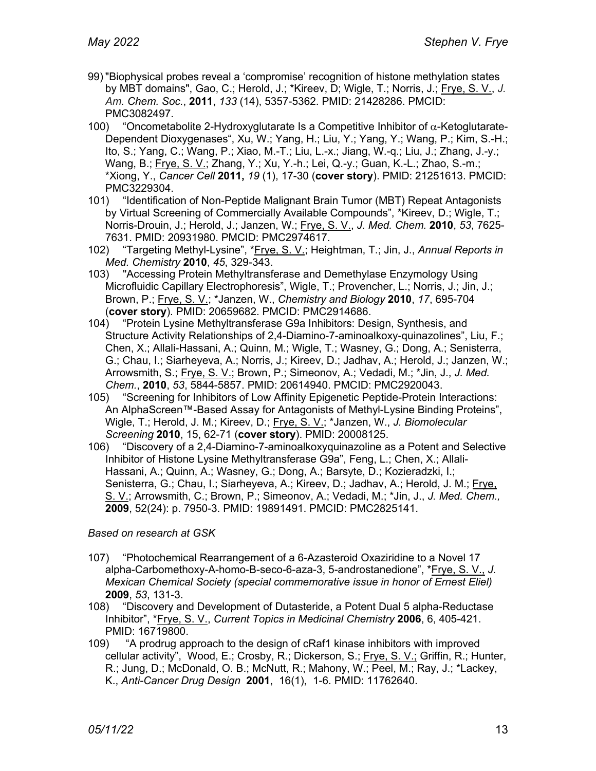- 99) "Biophysical probes reveal a 'compromise' recognition of histone methylation states by MBT domains", Gao, C.; Herold, J.; \*Kireev, D; Wigle, T.; Norris, J.; Frye, S. V., *J. Am. Chem. Soc.*, **2011**, *133* (14), 5357-5362. PMID: 21428286. PMCID: PMC3082497.
- 100) "Oncometabolite 2-Hydroxyglutarate Is a Competitive Inhibitor of  $\alpha$ -Ketoglutarate-Dependent Dioxygenases", Xu, W.; Yang, H.; Liu, Y.; Yang, Y.; Wang, P.; Kim, S.-H.; Ito, S.; Yang, C.; Wang, P.; Xiao, M.-T.; Liu, L.-x.; Jiang, W.-q.; Liu, J.; Zhang, J.-y.; Wang, B.; Frye, S. V.; Zhang, Y.; Xu, Y.-h.; Lei, Q.-y.; Guan, K.-L.; Zhao, S.-m.; \*Xiong, Y., *Cancer Cell* **2011,** *19* (1), 17-30 (**cover story**). PMID: 21251613. PMCID: PMC3229304.
- 101) "Identification of Non-Peptide Malignant Brain Tumor (MBT) Repeat Antagonists by Virtual Screening of Commercially Available Compounds", \*Kireev, D.; Wigle, T.; Norris-Drouin, J.; Herold, J.; Janzen, W.; Frye, S. V., *J. Med. Chem.* **2010**, *53*, 7625- 7631. PMID: 20931980. PMCID: PMC2974617.
- 102) "Targeting Methyl-Lysine", \*Frye, S. V.; Heightman, T.; Jin, J., *Annual Reports in Med. Chemistry* **2010**, *45*, 329-343.
- 103) "Accessing Protein Methyltransferase and Demethylase Enzymology Using Microfluidic Capillary Electrophoresis", Wigle, T.; Provencher, L.; Norris, J.; Jin, J.; Brown, P.; Frye, S. V.; \*Janzen, W., *Chemistry and Biology* **2010**, *17*, 695-704 (**cover story**). PMID: 20659682. PMCID: PMC2914686.
- 104) "Protein Lysine Methyltransferase G9a Inhibitors: Design, Synthesis, and Structure Activity Relationships of 2,4-Diamino-7-aminoalkoxy-quinazolines", Liu, F.; Chen, X.; Allali-Hassani, A.; Quinn, M.; Wigle, T.; Wasney, G.; Dong, A.; Senisterra, G.; Chau, I.; Siarheyeva, A.; Norris, J.; Kireev, D.; Jadhav, A.; Herold, J.; Janzen, W.; Arrowsmith, S.; Frye, S. V.; Brown, P.; Simeonov, A.; Vedadi, M.; \*Jin, J., *J. Med. Chem.*, **2010**, *53*, 5844-5857. PMID: 20614940. PMCID: PMC2920043.
- 105) "Screening for Inhibitors of Low Affinity Epigenetic Peptide-Protein Interactions: An AlphaScreen™-Based Assay for Antagonists of Methyl-Lysine Binding Proteins", Wigle, T.; Herold, J. M.; Kireev, D.; Frye, S. V.; \*Janzen, W., *J. Biomolecular Screening* **2010**, 15, 62-71 (**cover story**). PMID: 20008125.
- 106) "Discovery of a 2,4-Diamino-7-aminoalkoxyquinazoline as a Potent and Selective Inhibitor of Histone Lysine Methyltransferase G9a", Feng, L.; Chen, X.; Allali-Hassani, A.; Quinn, A.; Wasney, G.; Dong, A.; Barsyte, D.; Kozieradzki, I.; Senisterra, G.; Chau, I.; Siarheyeva, A.; Kireev, D.; Jadhav, A.; Herold, J. M.; Frye, S. V.; Arrowsmith, C.; Brown, P.; Simeonov, A.; Vedadi, M.; \*Jin, J., *J. Med. Chem.,* **2009**, 52(24): p. 7950-3. PMID: 19891491. PMCID: PMC2825141.

*Based on research at GSK*

- 107) "Photochemical Rearrangement of a 6-Azasteroid Oxaziridine to a Novel 17 alpha-Carbomethoxy-A-homo-B-seco-6-aza-3, 5-androstanedione", \*Frye, S. V., *J. Mexican Chemical Society (special commemorative issue in honor of Ernest Eliel)* **2009**, *53*, 131-3.
- 108) "Discovery and Development of Dutasteride, a Potent Dual 5 alpha-Reductase Inhibitor", \*Frye, S. V., *Current Topics in Medicinal Chemistry* **2006**, 6, 405-421. PMID: 16719800.
- 109) "A prodrug approach to the design of cRaf1 kinase inhibitors with improved cellular activity", Wood, E.; Crosby, R.; Dickerson, S.; Frye, S. V.; Griffin, R.; Hunter, R.; Jung, D.; McDonald, O. B.; McNutt, R.; Mahony, W.; Peel, M.; Ray, J.; \*Lackey, K., *Anti-Cancer Drug Design* **2001**, 16(1), 1-6. PMID: 11762640.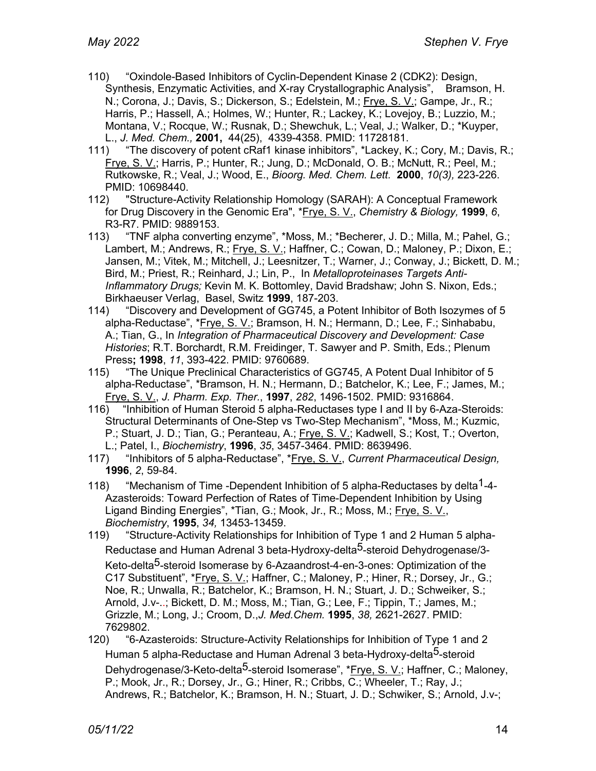- 110) "Oxindole-Based Inhibitors of Cyclin-Dependent Kinase 2 (CDK2): Design, Synthesis, Enzymatic Activities, and X-ray Crystallographic Analysis", Bramson, H. N.; Corona, J.; Davis, S.; Dickerson, S.; Edelstein, M.; Frye, S. V.; Gampe, Jr., R.; Harris, P.; Hassell, A.; Holmes, W.; Hunter, R.; Lackey, K.; Lovejoy, B.; Luzzio, M.; Montana, V.; Rocque, W.; Rusnak, D.; Shewchuk, L.; Veal, J.; Walker, D.; \*Kuyper, L., *J. Med. Chem.,* **2001,** 44(25), 4339-4358. PMID: 11728181.
- "The discovery of potent cRaf1 kinase inhibitors", \*Lackey, K.; Cory, M.; Davis, R.; Frye, S. V.; Harris, P.; Hunter, R.; Jung, D.; McDonald, O. B.; McNutt, R.; Peel, M.; Rutkowske, R.; Veal, J.; Wood, E., *Bioorg. Med. Chem. Lett.* **2000**, *10(3),* 223-226. PMID: 10698440.
- 112) "Structure-Activity Relationship Homology (SARAH): A Conceptual Framework for Drug Discovery in the Genomic Era", \*Frye, S. V., *Chemistry & Biology,* **1999**, *6*, R3-R7. PMID: 9889153.
- 113) "TNF alpha converting enzyme", \*Moss, M.; \*Becherer, J. D.; Milla, M.; Pahel, G.; Lambert, M.; Andrews, R.; Frye, S. V.; Haffner, C.; Cowan, D.; Maloney, P.; Dixon, E.; Jansen, M.; Vitek, M.; Mitchell, J.; Leesnitzer, T.; Warner, J.; Conway, J.; Bickett, D. M.; Bird, M.; Priest, R.; Reinhard, J.; Lin, P., In *Metalloproteinases Targets Anti-Inflammatory Drugs;* Kevin M. K. Bottomley, David Bradshaw; John S. Nixon, Eds.; Birkhaeuser Verlag, Basel, Switz **1999**, 187-203.
- 114) "Discovery and Development of GG745, a Potent Inhibitor of Both Isozymes of 5 alpha-Reductase", \*Frye, S. V.; Bramson, H. N.; Hermann, D.; Lee, F.; Sinhababu, A.; Tian, G., In *Integration of Pharmaceutical Discovery and Development: Case Histories*; R.T. Borchardt, R.M. Freidinger, T. Sawyer and P. Smith, Eds.; Plenum Press**; 1998**, *11*, 393-422. PMID: 9760689.
- 115) "The Unique Preclinical Characteristics of GG745, A Potent Dual Inhibitor of 5 alpha-Reductase", \*Bramson, H. N.; Hermann, D.; Batchelor, K.; Lee, F.; James, M.; Frye, S. V., *J. Pharm. Exp. Ther.*, **1997**, *282*, 1496-1502. PMID: 9316864.
- 116) "Inhibition of Human Steroid 5 alpha-Reductases type I and II by 6-Aza-Steroids: Structural Determinants of One-Step vs Two-Step Mechanism", \*Moss, M.; Kuzmic, P.; Stuart, J. D.; Tian, G.; Peranteau, A.; Frye, S. V.; Kadwell, S.; Kost, T.; Overton, L.; Patel, I., *Biochemistry*, **1996**, *35*, 3457-3464. PMID: 8639496.
- 117) "Inhibitors of 5 alpha-Reductase", \*Frye, S. V., *Current Pharmaceutical Design,*  **1996**, *2*, 59-84.
- 118) "Mechanism of Time -Dependent Inhibition of 5 alpha-Reductases by delta<sup>1</sup>-4-Azasteroids: Toward Perfection of Rates of Time-Dependent Inhibition by Using Ligand Binding Energies", \*Tian, G.; Mook, Jr., R.; Moss, M.; Frye, S. V., *Biochemistry*, **1995**, *34,* 13453-13459.
- 119) "Structure-Activity Relationships for Inhibition of Type 1 and 2 Human 5 alpha-Reductase and Human Adrenal 3 beta-Hydroxy-delta<sup>5</sup>-steroid Dehydrogenase/3-Keto-delta<sup>5</sup>-steroid Isomerase by 6-Azaandrost-4-en-3-ones: Optimization of the C17 Substituent", \*Frye, S. V.; Haffner, C.; Maloney, P.; Hiner, R.; Dorsey, Jr., G.; Noe, R.; Unwalla, R.; Batchelor, K.; Bramson, H. N.; Stuart, J. D.; Schweiker, S.; Arnold, J.v-..; Bickett, D. M.; Moss, M.; Tian, G.; Lee, F.; Tippin, T.; James, M.; Grizzle, M.; Long, J.; Croom, D.,*J. Med.Chem.* **1995**, *38,* 2621-2627. PMID: 7629802.
- 120) "6-Azasteroids: Structure-Activity Relationships for Inhibition of Type 1 and 2 Human 5 alpha-Reductase and Human Adrenal 3 beta-Hydroxy-delta<sup>5</sup>-steroid Dehydrogenase/3-Keto-delta<sup>5</sup>-steroid Isomerase", \*Frye, S. V.; Haffner, C.; Maloney, P.; Mook, Jr., R.; Dorsey, Jr., G.; Hiner, R.; Cribbs, C.; Wheeler, T.; Ray, J.; Andrews, R.; Batchelor, K.; Bramson, H. N.; Stuart, J. D.; Schwiker, S.; Arnold, J.v-;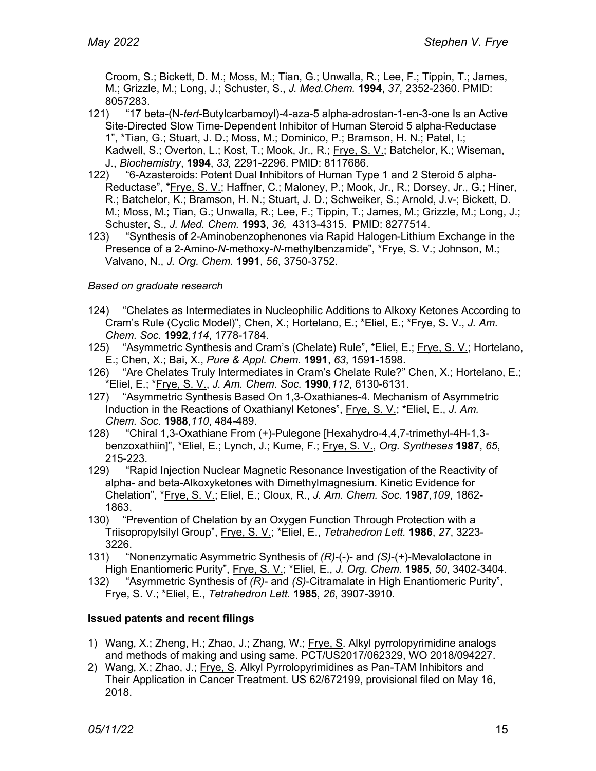Croom, S.; Bickett, D. M.; Moss, M.; Tian, G.; Unwalla, R.; Lee, F.; Tippin, T.; James, M.; Grizzle, M.; Long, J.; Schuster, S., *J. Med.Chem.* **1994**, *37,* 2352-2360. PMID: 8057283.

- 121) "17 beta-(N-*tert*-Butylcarbamoyl)-4-aza-5 alpha-adrostan-1-en-3-one Is an Active Site-Directed Slow Time-Dependent Inhibitor of Human Steroid 5 alpha-Reductase 1", \*Tian, G.; Stuart, J. D.; Moss, M.; Dominico, P.; Bramson, H. N.; Patel, I.; Kadwell, S.; Overton, L.; Kost, T.; Mook, Jr., R.; Frye, S. V.; Batchelor, K.; Wiseman, J., *Biochemistry*, **1994**, *33,* 2291-2296. PMID: 8117686.
- 122) "6-Azasteroids: Potent Dual Inhibitors of Human Type 1 and 2 Steroid 5 alpha-Reductase", \*Frye, S. V.; Haffner, C.; Maloney, P.; Mook, Jr., R.; Dorsey, Jr., G.; Hiner, R.; Batchelor, K.; Bramson, H. N.; Stuart, J. D.; Schweiker, S.; Arnold, J.v-; Bickett, D. M.; Moss, M.; Tian, G.; Unwalla, R.; Lee, F.; Tippin, T.; James, M.; Grizzle, M.; Long, J.; Schuster, S., *J. Med. Chem.* **1993**, *36,* 4313-4315. PMID: 8277514.
- 123) "Synthesis of 2-Aminobenzophenones via Rapid Halogen-Lithium Exchange in the Presence of a 2-Amino-*N*-methoxy-*N*-methylbenzamide", \*Frye, S. V.; Johnson, M.; Valvano, N., *J. Org. Chem.* **1991**, *56*, 3750-3752.

## *Based on graduate research*

- 124) "Chelates as Intermediates in Nucleophilic Additions to Alkoxy Ketones According to Cram's Rule (Cyclic Model)", Chen, X.; Hortelano, E.; \*Eliel, E.; \*Frye, S. V., *J. Am. Chem. Soc.* **1992**,*114*, 1778-1784.
- 125) "Asymmetric Synthesis and Cram's (Chelate) Rule", \*Eliel, E.; Frye, S. V.; Hortelano, E.; Chen, X.; Bai, X., *Pure & Appl. Chem.* **1991**, *63*, 1591-1598.
- 126) "Are Chelates Truly Intermediates in Cram's Chelate Rule?" Chen, X.; Hortelano, E.; \*Eliel, E.; \*Frye, S. V., *J. Am. Chem. Soc.* **1990**,*112*, 6130-6131.
- 127) "Asymmetric Synthesis Based On 1,3-Oxathianes-4. Mechanism of Asymmetric Induction in the Reactions of Oxathianyl Ketones", Frye, S. V.; \*Eliel, E., *J. Am. Chem. Soc.* **1988**,*110*, 484-489.
- 128) "Chiral 1,3-Oxathiane From (+)-Pulegone [Hexahydro-4,4,7-trimethyl-4H-1,3 benzoxathiin]", \*Eliel, E.; Lynch, J.; Kume, F.; Frye, S. V., *Org. Syntheses* **1987**, *65*, 215-223.
- 129) "Rapid Injection Nuclear Magnetic Resonance Investigation of the Reactivity of alpha- and beta-Alkoxyketones with Dimethylmagnesium. Kinetic Evidence for Chelation", \*Frye, S. V.; Eliel, E.; Cloux, R., *J. Am. Chem. Soc.* **1987**,*109*, 1862- 1863.
- 130) "Prevention of Chelation by an Oxygen Function Through Protection with a Triisopropylsilyl Group", Frye, S. V.; \*Eliel, E., *Tetrahedron Lett.* **1986**, *27*, 3223- 3226.
- 131) "Nonenzymatic Asymmetric Synthesis of *(R)*-(-)- and *(S)*-(+)-Mevalolactone in High Enantiomeric Purity", Frye, S. V.; \*Eliel, E., *J. Org. Chem.* **1985**, *50*, 3402-3404.
- 132) "Asymmetric Synthesis of *(R)* and *(S)*-Citramalate in High Enantiomeric Purity", Frye, S. V.; \*Eliel, E., *Tetrahedron Lett.* **1985**, *26*, 3907-3910.

## **Issued patents and recent filings**

- 1) Wang, X.; Zheng, H.; Zhao, J.; Zhang, W.; Frye, S. Alkyl pyrrolopyrimidine analogs and methods of making and using same. PCT/US2017/062329, WO 2018/094227.
- 2) Wang, X.; Zhao, J.; Frye, S. Alkyl Pyrrolopyrimidines as Pan-TAM Inhibitors and Their Application in Cancer Treatment. US 62/672199, provisional filed on May 16, 2018.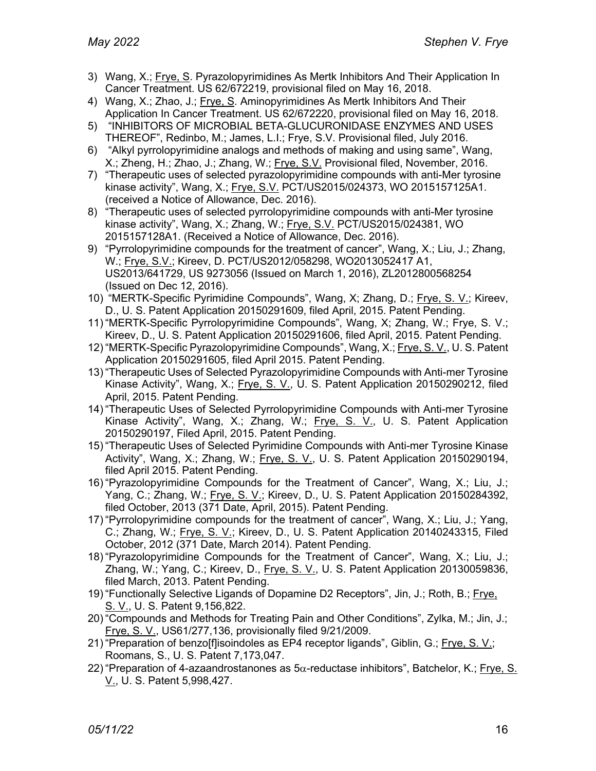- 3) Wang, X.; Frye, S. Pyrazolopyrimidines As Mertk Inhibitors And Their Application In Cancer Treatment. US 62/672219, provisional filed on May 16, 2018.
- 4) Wang, X.; Zhao, J.; Frye, S. Aminopyrimidines As Mertk Inhibitors And Their Application In Cancer Treatment. US 62/672220, provisional filed on May 16, 2018.
- 5) "INHIBITORS OF MICROBIAL BETA-GLUCURONIDASE ENZYMES AND USES THEREOF", Redinbo, M.; James, L.I.; Frye, S.V. Provisional filed, July 2016.
- 6) "Alkyl pyrrolopyrimidine analogs and methods of making and using same", Wang, X.; Zheng, H.; Zhao, J.; Zhang, W.; Frye, S.V. Provisional filed, November, 2016.
- 7) "Therapeutic uses of selected pyrazolopyrimidine compounds with anti-Mer tyrosine kinase activity", Wang, X.; Frye, S.V. PCT/US2015/024373, WO 2015157125A1. (received a Notice of Allowance, Dec. 2016).
- 8) "Therapeutic uses of selected pyrrolopyrimidine compounds with anti-Mer tyrosine kinase activity", Wang, X.; Zhang, W.; Frye, S.V. PCT/US2015/024381, WO 2015157128A1. (Received a Notice of Allowance, Dec. 2016).
- 9) "Pyrrolopyrimidine compounds for the treatment of cancer", Wang, X.; Liu, J.; Zhang, W.; Frye, S.V.; Kireev, D. PCT/US2012/058298, WO2013052417 A1, US2013/641729, US 9273056 (Issued on March 1, 2016), ZL2012800568254 (Issued on Dec 12, 2016).
- 10) "MERTK-Specific Pyrimidine Compounds", Wang, X; Zhang, D.; Frye, S. V.; Kireev, D., U. S. Patent Application 20150291609, filed April, 2015. Patent Pending.
- 11) "MERTK-Specific Pyrrolopyrimidine Compounds", Wang, X; Zhang, W.; Frye, S. V.; Kireev, D., U. S. Patent Application 20150291606, filed April, 2015. Patent Pending.
- 12) "MERTK-Specific Pyrazolopyrimidine Compounds", Wang, X.; Frye, S. V., U. S. Patent Application 20150291605, filed April 2015. Patent Pending.
- 13) "Therapeutic Uses of Selected Pyrazolopyrimidine Compounds with Anti-mer Tyrosine Kinase Activity", Wang, X.; Frye, S. V., U. S. Patent Application 20150290212, filed April, 2015. Patent Pending.
- 14) "Therapeutic Uses of Selected Pyrrolopyrimidine Compounds with Anti-mer Tyrosine Kinase Activity", Wang, X.; Zhang, W.; Frye, S. V., U. S. Patent Application 20150290197, Filed April, 2015. Patent Pending.
- 15) "Therapeutic Uses of Selected Pyrimidine Compounds with Anti-mer Tyrosine Kinase Activity", Wang, X.; Zhang, W.; Frye, S. V., U. S. Patent Application 20150290194, filed April 2015. Patent Pending.
- 16) "Pyrazolopyrimidine Compounds for the Treatment of Cancer", Wang, X.; Liu, J.; Yang, C.; Zhang, W.; Frye, S. V.; Kireev, D., U. S. Patent Application 20150284392, filed October, 2013 (371 Date, April, 2015). Patent Pending.
- 17) "Pyrrolopyrimidine compounds for the treatment of cancer", Wang, X.; Liu, J.; Yang, C.; Zhang, W.; Frye, S. V.; Kireev, D., U. S. Patent Application 20140243315, Filed October, 2012 (371 Date, March 2014). Patent Pending.
- 18) "Pyrazolopyrimidine Compounds for the Treatment of Cancer", Wang, X.; Liu, J.; Zhang, W.; Yang, C.; Kireev, D., Frye, S. V., U. S. Patent Application 20130059836, filed March, 2013. Patent Pending.
- 19) "Functionally Selective Ligands of Dopamine D2 Receptors", Jin, J.; Roth, B.; Frye, S. V., U. S. Patent 9,156,822.
- 20) "Compounds and Methods for Treating Pain and Other Conditions", Zylka, M.; Jin, J.; Frye, S. V., US61/277,136, provisionally filed 9/21/2009.
- 21) "Preparation of benzo[f]isoindoles as EP4 receptor ligands", Giblin, G.; Frye, S. V.; Roomans, S., U. S. Patent 7,173,047.
- 22) "Preparation of 4-azaandrostanones as  $5\alpha$ -reductase inhibitors", Batchelor, K.; Frye, S. V., U. S. Patent 5,998,427.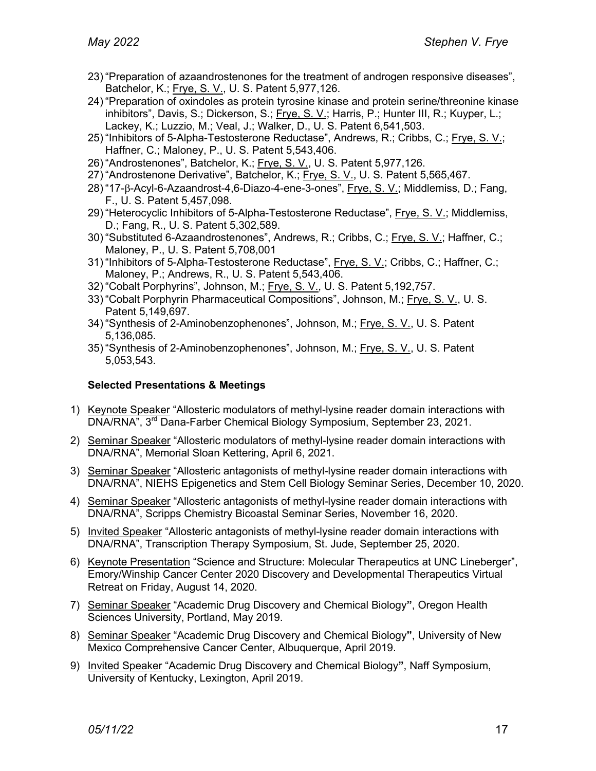- 23) "Preparation of azaandrostenones for the treatment of androgen responsive diseases", Batchelor, K.; Frye, S. V., U. S. Patent 5,977,126.
- 24) "Preparation of oxindoles as protein tyrosine kinase and protein serine/threonine kinase inhibitors", Davis, S.; Dickerson, S.; Frye, S. V.; Harris, P.; Hunter III, R.; Kuyper, L.; Lackey, K.; Luzzio, M.; Veal, J.; Walker, D., U. S. Patent 6,541,503.
- 25) "Inhibitors of 5-Alpha-Testosterone Reductase", Andrews, R.; Cribbs, C.; Frye, S. V.; Haffner, C.; Maloney, P., U. S. Patent 5,543,406.
- 26) "Androstenones", Batchelor, K.; Frye, S. V., U. S. Patent 5,977,126.
- 27) "Androstenone Derivative", Batchelor, K.; Frye, S. V., U. S. Patent 5,565,467.
- 28) "17-b-Acyl-6-Azaandrost-4,6-Diazo-4-ene-3-ones", Frye, S. V.; Middlemiss, D.; Fang, F., U. S. Patent 5,457,098.
- 29) "Heterocyclic Inhibitors of 5-Alpha-Testosterone Reductase", Frye, S. V.; Middlemiss, D.; Fang, R., U. S. Patent 5,302,589.
- 30) "Substituted 6-Azaandrostenones", Andrews, R.; Cribbs, C.; Frye, S. V.; Haffner, C.; Maloney, P., U. S. Patent 5,708,001
- 31) "Inhibitors of 5-Alpha-Testosterone Reductase", Frye, S. V.; Cribbs, C.; Haffner, C.; Maloney, P.; Andrews, R., U. S. Patent 5,543,406.
- 32) "Cobalt Porphyrins", Johnson, M.; Frye, S. V., U. S. Patent 5,192,757.
- 33) "Cobalt Porphyrin Pharmaceutical Compositions", Johnson, M.; Frye, S. V., U. S. Patent 5,149,697.
- 34) "Synthesis of 2-Aminobenzophenones", Johnson, M.; Frye, S. V., U. S. Patent 5,136,085.
- 35) "Synthesis of 2-Aminobenzophenones", Johnson, M.; Frye, S. V., U. S. Patent 5,053,543.

### **Selected Presentations & Meetings**

- 1) Keynote Speaker "Allosteric modulators of methyl-lysine reader domain interactions with DNA/RNA", 3rd Dana-Farber Chemical Biology Symposium, September 23, 2021.
- 2) Seminar Speaker "Allosteric modulators of methyl-lysine reader domain interactions with DNA/RNA", Memorial Sloan Kettering, April 6, 2021.
- 3) Seminar Speaker "Allosteric antagonists of methyl-lysine reader domain interactions with DNA/RNA", NIEHS Epigenetics and Stem Cell Biology Seminar Series, December 10, 2020.
- 4) Seminar Speaker "Allosteric antagonists of methyl-lysine reader domain interactions with DNA/RNA", Scripps Chemistry Bicoastal Seminar Series, November 16, 2020.
- 5) Invited Speaker "Allosteric antagonists of methyl-lysine reader domain interactions with DNA/RNA", Transcription Therapy Symposium, St. Jude, September 25, 2020.
- 6) Keynote Presentation "Science and Structure: Molecular Therapeutics at UNC Lineberger", Emory/Winship Cancer Center 2020 Discovery and Developmental Therapeutics Virtual Retreat on Friday, August 14, 2020.
- 7) Seminar Speaker "Academic Drug Discovery and Chemical Biology**"**, Oregon Health Sciences University, Portland, May 2019.
- 8) Seminar Speaker "Academic Drug Discovery and Chemical Biology**"**, University of New Mexico Comprehensive Cancer Center, Albuquerque, April 2019.
- 9) Invited Speaker "Academic Drug Discovery and Chemical Biology**"**, Naff Symposium, University of Kentucky, Lexington, April 2019.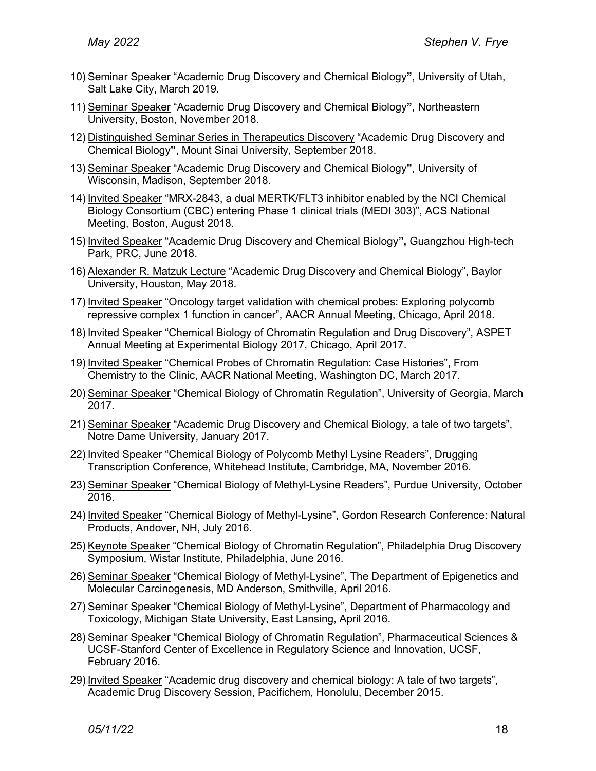- 10) Seminar Speaker "Academic Drug Discovery and Chemical Biology**"**, University of Utah, Salt Lake City, March 2019.
- 11) Seminar Speaker "Academic Drug Discovery and Chemical Biology**"**, Northeastern University, Boston, November 2018.
- 12) Distinguished Seminar Series in Therapeutics Discovery "Academic Drug Discovery and Chemical Biology**"**, Mount Sinai University, September 2018.
- 13) Seminar Speaker "Academic Drug Discovery and Chemical Biology**"**, University of Wisconsin, Madison, September 2018.
- 14) Invited Speaker "MRX-2843, a dual MERTK/FLT3 inhibitor enabled by the NCI Chemical Biology Consortium (CBC) entering Phase 1 clinical trials (MEDI 303)", ACS National Meeting, Boston, August 2018.
- 15) Invited Speaker "Academic Drug Discovery and Chemical Biology**",** Guangzhou High-tech Park, PRC, June 2018.
- 16) Alexander R. Matzuk Lecture "Academic Drug Discovery and Chemical Biology", Baylor University, Houston, May 2018.
- 17) Invited Speaker "Oncology target validation with chemical probes: Exploring polycomb repressive complex 1 function in cancer", AACR Annual Meeting, Chicago, April 2018.
- 18) Invited Speaker "Chemical Biology of Chromatin Regulation and Drug Discovery", ASPET Annual Meeting at Experimental Biology 2017, Chicago, April 2017.
- 19) Invited Speaker "Chemical Probes of Chromatin Regulation: Case Histories", From Chemistry to the Clinic, AACR National Meeting, Washington DC, March 2017.
- 20) Seminar Speaker "Chemical Biology of Chromatin Regulation", University of Georgia, March 2017.
- 21) Seminar Speaker "Academic Drug Discovery and Chemical Biology, a tale of two targets", Notre Dame University, January 2017.
- 22) Invited Speaker "Chemical Biology of Polycomb Methyl Lysine Readers", Drugging Transcription Conference, Whitehead Institute, Cambridge, MA, November 2016.
- 23) Seminar Speaker "Chemical Biology of Methyl-Lysine Readers", Purdue University, October 2016.
- 24) Invited Speaker "Chemical Biology of Methyl-Lysine", Gordon Research Conference: Natural Products, Andover, NH, July 2016.
- 25) Keynote Speaker "Chemical Biology of Chromatin Regulation", Philadelphia Drug Discovery Symposium, Wistar Institute, Philadelphia, June 2016.
- 26) Seminar Speaker "Chemical Biology of Methyl-Lysine", The Department of Epigenetics and Molecular Carcinogenesis, MD Anderson, Smithville, April 2016.
- 27) Seminar Speaker "Chemical Biology of Methyl-Lysine", Department of Pharmacology and Toxicology, Michigan State University, East Lansing, April 2016.
- 28) Seminar Speaker "Chemical Biology of Chromatin Regulation", Pharmaceutical Sciences & UCSF-Stanford Center of Excellence in Regulatory Science and Innovation, UCSF, February 2016.
- 29) Invited Speaker "Academic drug discovery and chemical biology: A tale of two targets", Academic Drug Discovery Session, Pacifichem, Honolulu, December 2015.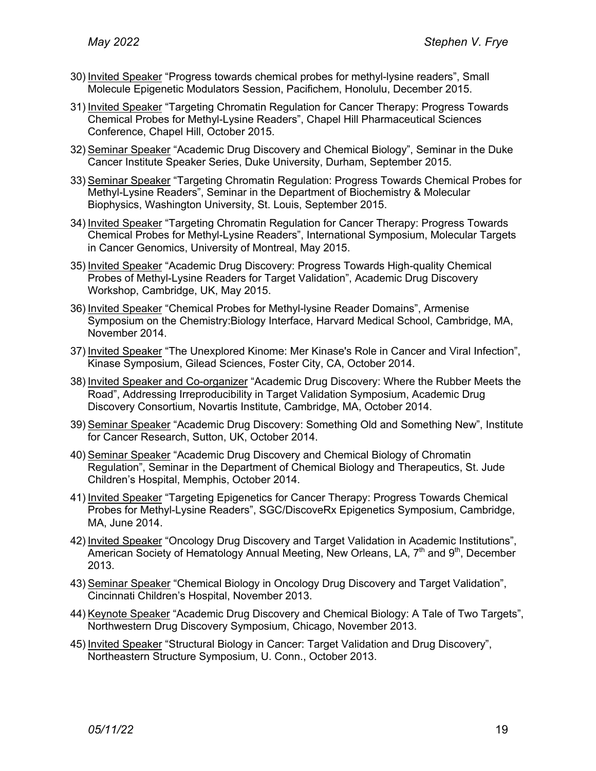- 30) Invited Speaker "Progress towards chemical probes for methyl-lysine readers", Small Molecule Epigenetic Modulators Session, Pacifichem, Honolulu, December 2015.
- 31) Invited Speaker "Targeting Chromatin Regulation for Cancer Therapy: Progress Towards Chemical Probes for Methyl-Lysine Readers", Chapel Hill Pharmaceutical Sciences Conference, Chapel Hill, October 2015.
- 32) Seminar Speaker "Academic Drug Discovery and Chemical Biology", Seminar in the Duke Cancer Institute Speaker Series, Duke University, Durham, September 2015.
- 33) Seminar Speaker "Targeting Chromatin Regulation: Progress Towards Chemical Probes for Methyl-Lysine Readers", Seminar in the Department of Biochemistry & Molecular Biophysics, Washington University, St. Louis, September 2015.
- 34) Invited Speaker "Targeting Chromatin Regulation for Cancer Therapy: Progress Towards Chemical Probes for Methyl-Lysine Readers", International Symposium, Molecular Targets in Cancer Genomics, University of Montreal, May 2015.
- 35) Invited Speaker "Academic Drug Discovery: Progress Towards High-quality Chemical Probes of Methyl-Lysine Readers for Target Validation", Academic Drug Discovery Workshop, Cambridge, UK, May 2015.
- 36) Invited Speaker "Chemical Probes for Methyl-lysine Reader Domains", Armenise Symposium on the Chemistry:Biology Interface, Harvard Medical School, Cambridge, MA, November 2014.
- 37) Invited Speaker "The Unexplored Kinome: Mer Kinase's Role in Cancer and Viral Infection", Kinase Symposium, Gilead Sciences, Foster City, CA, October 2014.
- 38) Invited Speaker and Co-organizer "Academic Drug Discovery: Where the Rubber Meets the Road", Addressing Irreproducibility in Target Validation Symposium, Academic Drug Discovery Consortium, Novartis Institute, Cambridge, MA, October 2014.
- 39) Seminar Speaker "Academic Drug Discovery: Something Old and Something New", Institute for Cancer Research, Sutton, UK, October 2014.
- 40) Seminar Speaker "Academic Drug Discovery and Chemical Biology of Chromatin Regulation", Seminar in the Department of Chemical Biology and Therapeutics, St. Jude Children's Hospital, Memphis, October 2014.
- 41) Invited Speaker "Targeting Epigenetics for Cancer Therapy: Progress Towards Chemical Probes for Methyl-Lysine Readers", SGC/DiscoveRx Epigenetics Symposium, Cambridge, MA, June 2014.
- 42) Invited Speaker "Oncology Drug Discovery and Target Validation in Academic Institutions", American Society of Hematology Annual Meeting, New Orleans, LA, 7<sup>th</sup> and 9<sup>th</sup>, December 2013.
- 43) Seminar Speaker "Chemical Biology in Oncology Drug Discovery and Target Validation", Cincinnati Children's Hospital, November 2013.
- 44) Keynote Speaker "Academic Drug Discovery and Chemical Biology: A Tale of Two Targets", Northwestern Drug Discovery Symposium, Chicago, November 2013.
- 45) Invited Speaker "Structural Biology in Cancer: Target Validation and Drug Discovery", Northeastern Structure Symposium, U. Conn., October 2013.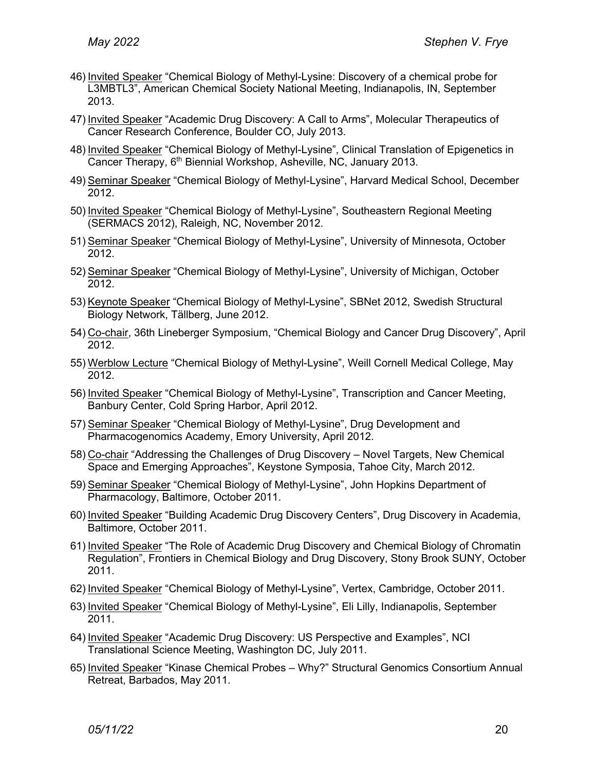- 46) Invited Speaker "Chemical Biology of Methyl-Lysine: Discovery of a chemical probe for L3MBTL3", American Chemical Society National Meeting, Indianapolis, IN, September 2013.
- 47) Invited Speaker "Academic Drug Discovery: A Call to Arms", Molecular Therapeutics of Cancer Research Conference, Boulder CO, July 2013.
- 48) Invited Speaker "Chemical Biology of Methyl-Lysine", Clinical Translation of Epigenetics in Cancer Therapy, 6<sup>th</sup> Biennial Workshop, Asheville, NC, January 2013.
- 49) Seminar Speaker "Chemical Biology of Methyl-Lysine", Harvard Medical School, December 2012.
- 50) Invited Speaker "Chemical Biology of Methyl-Lysine", Southeastern Regional Meeting (SERMACS 2012), Raleigh, NC, November 2012.
- 51) Seminar Speaker "Chemical Biology of Methyl-Lysine", University of Minnesota, October 2012.
- 52) Seminar Speaker "Chemical Biology of Methyl-Lysine", University of Michigan, October 2012.
- 53) Keynote Speaker "Chemical Biology of Methyl-Lysine", SBNet 2012, Swedish Structural Biology Network, Tällberg, June 2012.
- 54) Co-chair, 36th Lineberger Symposium, "Chemical Biology and Cancer Drug Discovery", April 2012.
- 55) Werblow Lecture "Chemical Biology of Methyl-Lysine", Weill Cornell Medical College, May 2012.
- 56) Invited Speaker "Chemical Biology of Methyl-Lysine", Transcription and Cancer Meeting, Banbury Center, Cold Spring Harbor, April 2012.
- 57) Seminar Speaker "Chemical Biology of Methyl-Lysine", Drug Development and Pharmacogenomics Academy, Emory University, April 2012.
- 58) Co-chair "Addressing the Challenges of Drug Discovery Novel Targets, New Chemical Space and Emerging Approaches", Keystone Symposia, Tahoe City, March 2012.
- 59) Seminar Speaker "Chemical Biology of Methyl-Lysine", John Hopkins Department of Pharmacology, Baltimore, October 2011.
- 60) Invited Speaker "Building Academic Drug Discovery Centers", Drug Discovery in Academia, Baltimore, October 2011.
- 61) Invited Speaker "The Role of Academic Drug Discovery and Chemical Biology of Chromatin Regulation", Frontiers in Chemical Biology and Drug Discovery, Stony Brook SUNY, October 2011.
- 62) Invited Speaker "Chemical Biology of Methyl-Lysine", Vertex, Cambridge, October 2011.
- 63) Invited Speaker "Chemical Biology of Methyl-Lysine", Eli Lilly, Indianapolis, September 2011.
- 64) Invited Speaker "Academic Drug Discovery: US Perspective and Examples", NCI Translational Science Meeting, Washington DC, July 2011.
- 65) Invited Speaker "Kinase Chemical Probes Why?" Structural Genomics Consortium Annual Retreat, Barbados, May 2011.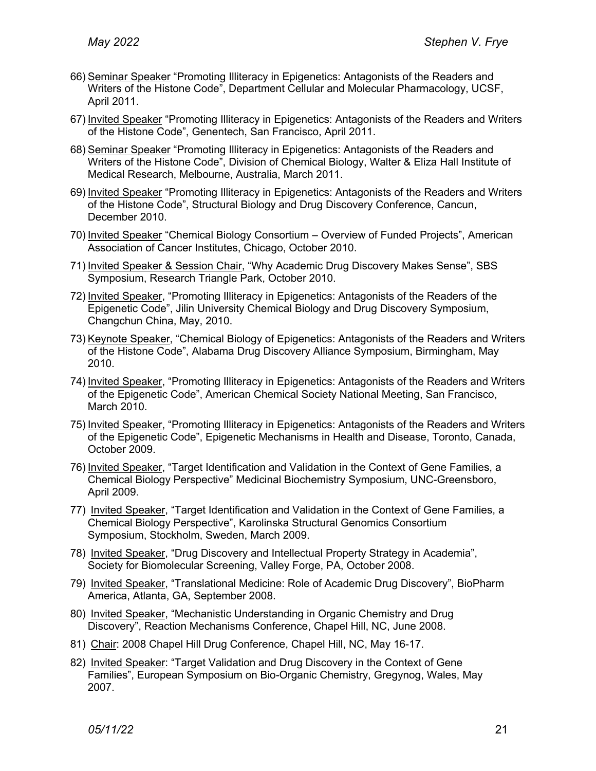- 66) Seminar Speaker "Promoting Illiteracy in Epigenetics: Antagonists of the Readers and Writers of the Histone Code", Department Cellular and Molecular Pharmacology, UCSF, April 2011.
- 67) Invited Speaker "Promoting Illiteracy in Epigenetics: Antagonists of the Readers and Writers of the Histone Code", Genentech, San Francisco, April 2011.
- 68) Seminar Speaker "Promoting Illiteracy in Epigenetics: Antagonists of the Readers and Writers of the Histone Code", Division of Chemical Biology, Walter & Eliza Hall Institute of Medical Research, Melbourne, Australia, March 2011.
- 69) Invited Speaker "Promoting Illiteracy in Epigenetics: Antagonists of the Readers and Writers of the Histone Code", Structural Biology and Drug Discovery Conference, Cancun, December 2010.
- 70) Invited Speaker "Chemical Biology Consortium Overview of Funded Projects", American Association of Cancer Institutes, Chicago, October 2010.
- 71) Invited Speaker & Session Chair, "Why Academic Drug Discovery Makes Sense", SBS Symposium, Research Triangle Park, October 2010.
- 72) Invited Speaker, "Promoting Illiteracy in Epigenetics: Antagonists of the Readers of the Epigenetic Code", Jilin University Chemical Biology and Drug Discovery Symposium, Changchun China, May, 2010.
- 73) Keynote Speaker, "Chemical Biology of Epigenetics: Antagonists of the Readers and Writers of the Histone Code", Alabama Drug Discovery Alliance Symposium, Birmingham, May 2010.
- 74) Invited Speaker, "Promoting Illiteracy in Epigenetics: Antagonists of the Readers and Writers of the Epigenetic Code", American Chemical Society National Meeting, San Francisco, March 2010.
- 75) Invited Speaker, "Promoting Illiteracy in Epigenetics: Antagonists of the Readers and Writers of the Epigenetic Code", Epigenetic Mechanisms in Health and Disease, Toronto, Canada, October 2009.
- 76) Invited Speaker, "Target Identification and Validation in the Context of Gene Families, a Chemical Biology Perspective" Medicinal Biochemistry Symposium, UNC-Greensboro, April 2009.
- 77) Invited Speaker, "Target Identification and Validation in the Context of Gene Families, a Chemical Biology Perspective", Karolinska Structural Genomics Consortium Symposium, Stockholm, Sweden, March 2009.
- 78) Invited Speaker, "Drug Discovery and Intellectual Property Strategy in Academia", Society for Biomolecular Screening, Valley Forge, PA, October 2008.
- 79) Invited Speaker, "Translational Medicine: Role of Academic Drug Discovery", BioPharm America, Atlanta, GA, September 2008.
- 80) Invited Speaker, "Mechanistic Understanding in Organic Chemistry and Drug Discovery", Reaction Mechanisms Conference, Chapel Hill, NC, June 2008.
- 81) Chair: 2008 Chapel Hill Drug Conference, Chapel Hill, NC, May 16-17.
- 82) Invited Speaker: "Target Validation and Drug Discovery in the Context of Gene Families", European Symposium on Bio-Organic Chemistry, Gregynog, Wales, May 2007.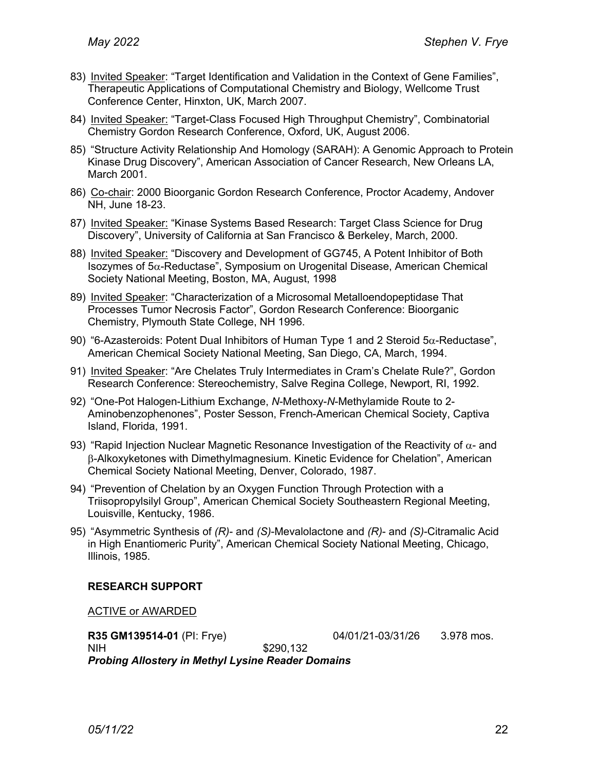- 83) Invited Speaker: "Target Identification and Validation in the Context of Gene Families", Therapeutic Applications of Computational Chemistry and Biology, Wellcome Trust Conference Center, Hinxton, UK, March 2007.
- 84) Invited Speaker: "Target-Class Focused High Throughput Chemistry", Combinatorial Chemistry Gordon Research Conference, Oxford, UK, August 2006.
- 85) "Structure Activity Relationship And Homology (SARAH): A Genomic Approach to Protein Kinase Drug Discovery", American Association of Cancer Research, New Orleans LA, March 2001.
- 86) Co-chair: 2000 Bioorganic Gordon Research Conference, Proctor Academy, Andover NH, June 18-23.
- 87) Invited Speaker: "Kinase Systems Based Research: Target Class Science for Drug Discovery", University of California at San Francisco & Berkeley, March, 2000.
- 88) Invited Speaker: "Discovery and Development of GG745, A Potent Inhibitor of Both Isozymes of  $5\alpha$ -Reductase", Symposium on Urogenital Disease, American Chemical Society National Meeting, Boston, MA, August, 1998
- 89) Invited Speaker: "Characterization of a Microsomal Metalloendopeptidase That Processes Tumor Necrosis Factor", Gordon Research Conference: Bioorganic Chemistry, Plymouth State College, NH 1996.
- 90) "6-Azasteroids: Potent Dual Inhibitors of Human Type 1 and 2 Steroid  $5\alpha$ -Reductase", American Chemical Society National Meeting, San Diego, CA, March, 1994.
- 91) Invited Speaker: "Are Chelates Truly Intermediates in Cram's Chelate Rule?", Gordon Research Conference: Stereochemistry, Salve Regina College, Newport, RI, 1992.
- 92) "One-Pot Halogen-Lithium Exchange, *N*-Methoxy-*N*-Methylamide Route to 2- Aminobenzophenones", Poster Sesson, French-American Chemical Society, Captiva Island, Florida, 1991.
- 93) "Rapid Injection Nuclear Magnetic Resonance Investigation of the Reactivity of  $\alpha$  and b-Alkoxyketones with Dimethylmagnesium. Kinetic Evidence for Chelation", American Chemical Society National Meeting, Denver, Colorado, 1987.
- 94) "Prevention of Chelation by an Oxygen Function Through Protection with a Triisopropylsilyl Group", American Chemical Society Southeastern Regional Meeting, Louisville, Kentucky, 1986.
- 95) "Asymmetric Synthesis of *(R)* and *(S)*-Mevalolactone and *(R)* and *(S)*-Citramalic Acid in High Enantiomeric Purity", American Chemical Society National Meeting, Chicago, Illinois, 1985.

### **RESEARCH SUPPORT**

ACTIVE or AWARDED

**R35 GM139514-01** (PI: Frye) 04/01/21-03/31/26 3.978 mos. NIH \$290,132 *Probing Allostery in Methyl Lysine Reader Domains*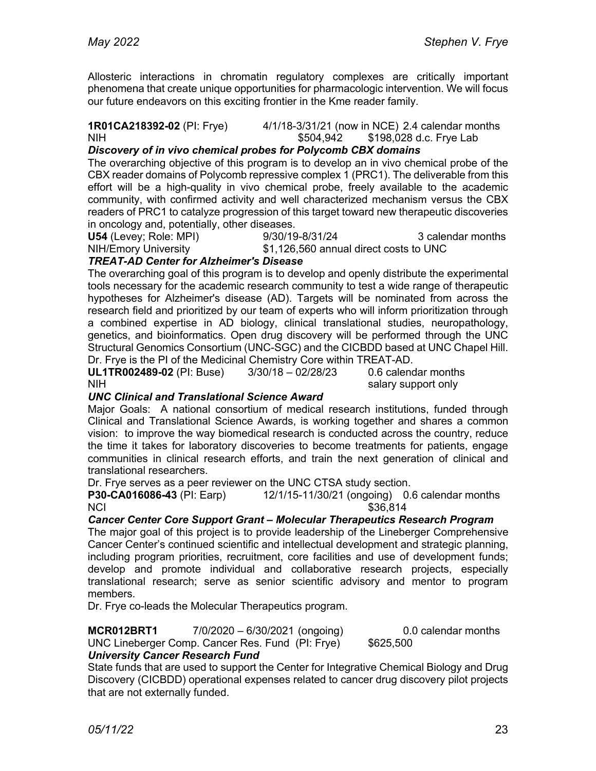Allosteric interactions in chromatin regulatory complexes are critically important phenomena that create unique opportunities for pharmacologic intervention. We will focus our future endeavors on this exciting frontier in the Kme reader family.

#### **1R01CA218392-02** (PI: Frye) 4/1/18-3/31/21 (now in NCE) 2.4 calendar months NIH \$504,942 \$198,028 d.c. Frye Lab

## *Discovery of in vivo chemical probes for Polycomb CBX domains*

The overarching objective of this program is to develop an in vivo chemical probe of the CBX reader domains of Polycomb repressive complex 1 (PRC1). The deliverable from this effort will be a high-quality in vivo chemical probe, freely available to the academic community, with confirmed activity and well characterized mechanism versus the CBX readers of PRC1 to catalyze progression of this target toward new therapeutic discoveries in oncology and, potentially, other diseases.

**U54** (Levey; Role: MPI) 9/30/19-8/31/24 3 calendar months

NIH/Emory University \$1,126,560 annual direct costs to UNC

### *TREAT-AD Center for Alzheimer's Disease*

The overarching goal of this program is to develop and openly distribute the experimental tools necessary for the academic research community to test a wide range of therapeutic hypotheses for Alzheimer's disease (AD). Targets will be nominated from across the research field and prioritized by our team of experts who will inform prioritization through a combined expertise in AD biology, clinical translational studies, neuropathology, genetics, and bioinformatics. Open drug discovery will be performed through the UNC Structural Genomics Consortium (UNC-SGC) and the CICBDD based at UNC Chapel Hill. Dr. Frye is the PI of the Medicinal Chemistry Core within TREAT-AD.

**UL1TR002489-02** (PI: Buse) 3/30/18 – 02/28/23 0.6 calendar months NIH salary support only

## *UNC Clinical and Translational Science Award*

Major Goals: A national consortium of medical research institutions, funded through Clinical and Translational Science Awards, is working together and shares a common vision: to improve the way biomedical research is conducted across the country, reduce the time it takes for laboratory discoveries to become treatments for patients, engage communities in clinical research efforts, and train the next generation of clinical and translational researchers.

Dr. Frye serves as a peer reviewer on the UNC CTSA study section.

**P30-CA016086-43** (PI: Earp) 12/1/15-11/30/21 (ongoing) 0.6 calendar months NCI \$36,814

## *Cancer Center Core Support Grant – Molecular Therapeutics Research Program*

The major goal of this project is to provide leadership of the Lineberger Comprehensive Cancer Center's continued scientific and intellectual development and strategic planning, including program priorities, recruitment, core facilities and use of development funds; develop and promote individual and collaborative research projects, especially translational research; serve as senior scientific advisory and mentor to program members.

Dr. Frye co-leads the Molecular Therapeutics program.

**MCR012BRT1** 7/0/2020 – 6/30/2021 (ongoing) 0.0 calendar months UNC Lineberger Comp. Cancer Res. Fund (PI: Frye) \$625,500 *University Cancer Research Fund*

State funds that are used to support the Center for Integrative Chemical Biology and Drug Discovery (CICBDD) operational expenses related to cancer drug discovery pilot projects that are not externally funded.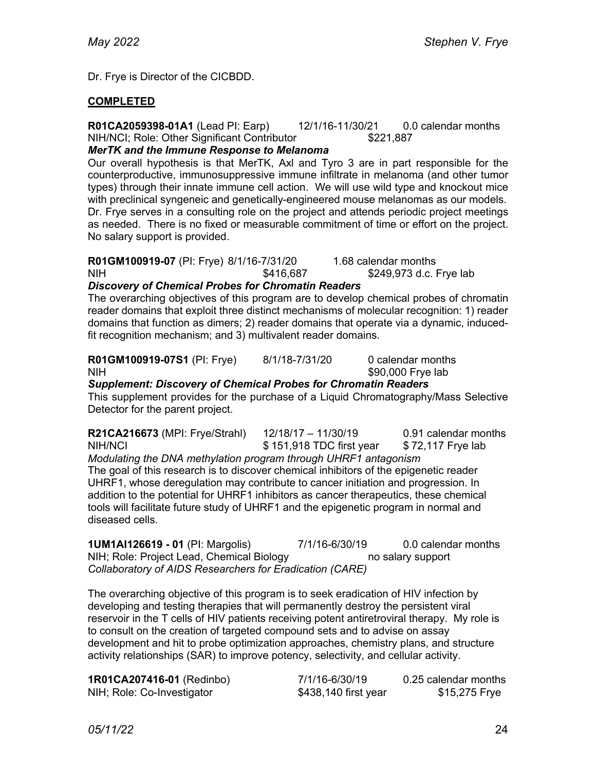Dr. Frye is Director of the CICBDD.

### **COMPLETED**

**R01CA2059398-01A1** (Lead PI: Earp) 12/1/16-11/30/21 0.0 calendar months NIH/NCI; Role: Other Significant Contributor \$221,887

### *MerTK and the Immune Response to Melanoma*

Our overall hypothesis is that MerTK, Axl and Tyro 3 are in part responsible for the counterproductive, immunosuppressive immune infiltrate in melanoma (and other tumor types) through their innate immune cell action. We will use wild type and knockout mice with preclinical syngeneic and genetically-engineered mouse melanomas as our models. Dr. Frye serves in a consulting role on the project and attends periodic project meetings as needed. There is no fixed or measurable commitment of time or effort on the project. No salary support is provided.

## **R01GM100919-07** (PI: Frye) 8/1/16-7/31/20 1.68 calendar months NIH  $$416,687$   $$249,973$  d.c. Frye lab

### *Discovery of Chemical Probes for Chromatin Readers*

The overarching objectives of this program are to develop chemical probes of chromatin reader domains that exploit three distinct mechanisms of molecular recognition: 1) reader domains that function as dimers; 2) reader domains that operate via a dynamic, inducedfit recognition mechanism; and 3) multivalent reader domains.

## **R01GM100919-07S1** (PI: Frye) 8/1/18-7/31/20 0 calendar months NIH  $$90,000$  Frye lab

*Supplement: Discovery of Chemical Probes for Chromatin Readers* This supplement provides for the purchase of a Liquid Chromatography/Mass Selective Detector for the parent project.

| R21CA216673 (MPI: Frye/Strahl)                                                        | $12/18/17 - 11/30/19$    | 0.91 calendar months |  |  |
|---------------------------------------------------------------------------------------|--------------------------|----------------------|--|--|
| NIH/NCI                                                                               | \$151,918 TDC first year | \$72,117 Frye lab    |  |  |
| Modulating the DNA methylation program through UHRF1 antagonism                       |                          |                      |  |  |
| The goal of this research is to discover chemical inhibitors of the epigenetic reader |                          |                      |  |  |

UHRF1, whose deregulation may contribute to cancer initiation and progression. In addition to the potential for UHRF1 inhibitors as cancer therapeutics, these chemical tools will facilitate future study of UHRF1 and the epigenetic program in normal and diseased cells.

**1UM1AI126619 - 01** (PI: Margolis) 7/1/16-6/30/19 0.0 calendar months NIH; Role: Project Lead, Chemical Biology https://www.mo.salary.support *Collaboratory of AIDS Researchers for Eradication (CARE)*

The overarching objective of this program is to seek eradication of HIV infection by developing and testing therapies that will permanently destroy the persistent viral reservoir in the T cells of HIV patients receiving potent antiretroviral therapy. My role is to consult on the creation of targeted compound sets and to advise on assay development and hit to probe optimization approaches, chemistry plans, and structure activity relationships (SAR) to improve potency, selectivity, and cellular activity.

| 1R01CA207416-01 (Redinbo)  | 7/1/16-6/30/19       | 0.25 calendar months |
|----------------------------|----------------------|----------------------|
| NIH; Role: Co-Investigator | \$438,140 first year | \$15,275 Frye        |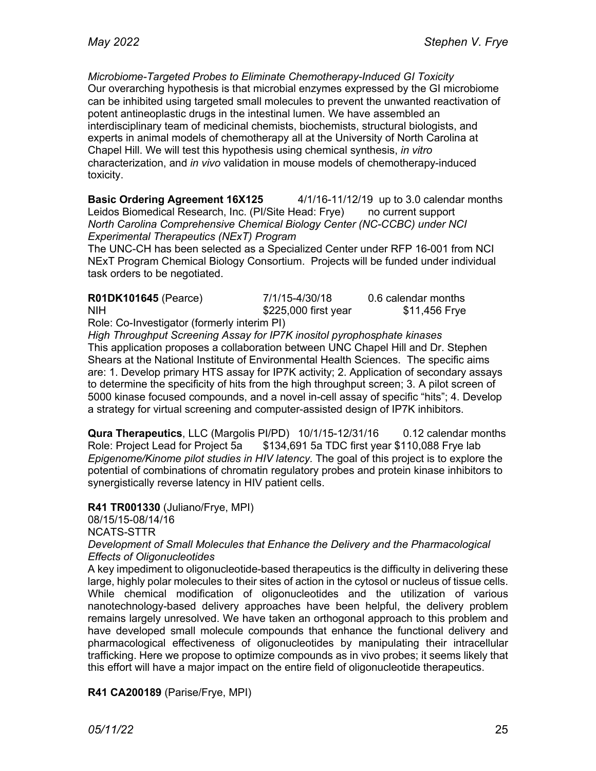*Microbiome-Targeted Probes to Eliminate Chemotherapy-Induced GI Toxicity* Our overarching hypothesis is that microbial enzymes expressed by the GI microbiome can be inhibited using targeted small molecules to prevent the unwanted reactivation of potent antineoplastic drugs in the intestinal lumen. We have assembled an interdisciplinary team of medicinal chemists, biochemists, structural biologists, and experts in animal models of chemotherapy all at the University of North Carolina at Chapel Hill. We will test this hypothesis using chemical synthesis, *in vitro*  characterization, and *in vivo* validation in mouse models of chemotherapy-induced toxicity.

**Basic Ordering Agreement 16X125** 4/1/16-11/12/19 up to 3.0 calendar months Leidos Biomedical Research, Inc. (Pl/Site Head: Frye) no current support *North Carolina Comprehensive Chemical Biology Center (NC-CCBC) under NCI Experimental Therapeutics (NExT) Program*

The UNC-CH has been selected as a Specialized Center under RFP 16-001 from NCI NExT Program Chemical Biology Consortium. Projects will be funded under individual task orders to be negotiated.

| <b>R01DK101645 (Pearce)</b> | 7/1/15-4/30/18       | 0.6 calendar months |
|-----------------------------|----------------------|---------------------|
| <b>NIH</b>                  | \$225,000 first year | \$11,456 Frye       |
| $\overline{\phantom{a}}$ .  |                      |                     |

Role: Co-Investigator (formerly interim PI)

*High Throughput Screening Assay for IP7K inositol pyrophosphate kinases* This application proposes a collaboration between UNC Chapel Hill and Dr. Stephen Shears at the National Institute of Environmental Health Sciences. The specific aims are: 1. Develop primary HTS assay for IP7K activity; 2. Application of secondary assays to determine the specificity of hits from the high throughput screen; 3. A pilot screen of 5000 kinase focused compounds, and a novel in-cell assay of specific "hits"; 4. Develop a strategy for virtual screening and computer-assisted design of IP7K inhibitors.

**Qura Therapeutics**, LLC (Margolis PI/PD) 10/1/15-12/31/16 0.12 calendar months Role: Project Lead for Project 5a \$134,691 5a TDC first year \$110,088 Frye lab *Epigenome/Kinome pilot studies in HIV latency.* The goal of this project is to explore the potential of combinations of chromatin regulatory probes and protein kinase inhibitors to synergistically reverse latency in HIV patient cells.

**R41 TR001330** (Juliano/Frye, MPI) 08/15/15-08/14/16 NCATS-STTR *Development of Small Molecules that Enhance the Delivery and the Pharmacological Effects of Oligonucleotides*

A key impediment to oligonucleotide-based therapeutics is the difficulty in delivering these large, highly polar molecules to their sites of action in the cytosol or nucleus of tissue cells. While chemical modification of oligonucleotides and the utilization of various nanotechnology-based delivery approaches have been helpful, the delivery problem remains largely unresolved. We have taken an orthogonal approach to this problem and have developed small molecule compounds that enhance the functional delivery and pharmacological effectiveness of oligonucleotides by manipulating their intracellular trafficking. Here we propose to optimize compounds as in vivo probes; it seems likely that this effort will have a major impact on the entire field of oligonucleotide therapeutics.

## **R41 CA200189** (Parise/Frye, MPI)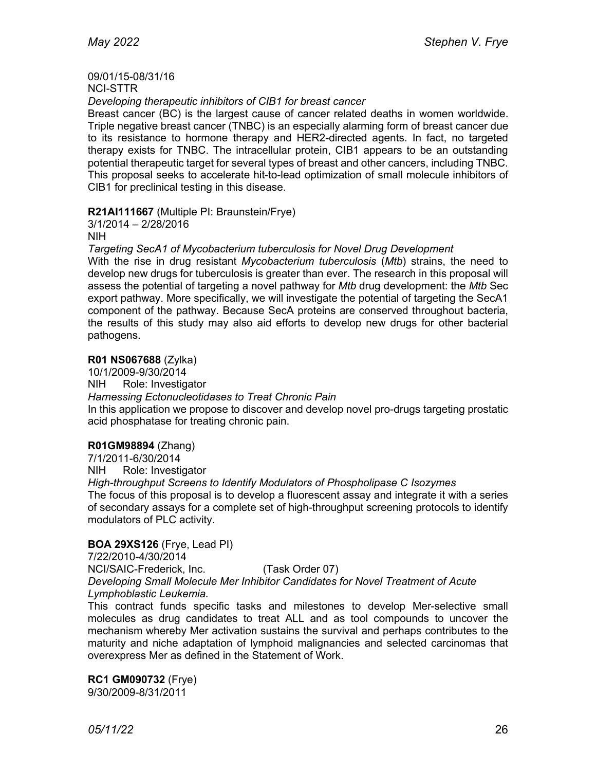# 09/01/15-08/31/16

NCI-STTR

*Developing therapeutic inhibitors of CIB1 for breast cancer*

Breast cancer (BC) is the largest cause of cancer related deaths in women worldwide. Triple negative breast cancer (TNBC) is an especially alarming form of breast cancer due to its resistance to hormone therapy and HER2-directed agents. In fact, no targeted therapy exists for TNBC. The intracellular protein, CIB1 appears to be an outstanding potential therapeutic target for several types of breast and other cancers, including TNBC. This proposal seeks to accelerate hit-to-lead optimization of small molecule inhibitors of CIB1 for preclinical testing in this disease.

**R21AI111667** (Multiple PI: Braunstein/Frye)

3/1/2014 – 2/28/2016 NIH

*Targeting SecA1 of Mycobacterium tuberculosis for Novel Drug Development*

With the rise in drug resistant *Mycobacterium tuberculosis* (*Mtb*) strains, the need to develop new drugs for tuberculosis is greater than ever. The research in this proposal will assess the potential of targeting a novel pathway for *Mtb* drug development: the *Mtb* Sec export pathway. More specifically, we will investigate the potential of targeting the SecA1 component of the pathway. Because SecA proteins are conserved throughout bacteria, the results of this study may also aid efforts to develop new drugs for other bacterial pathogens.

### **R01 NS067688** (Zylka)

10/1/2009-9/30/2014 NIH Role: Investigator

*Harnessing Ectonucleotidases to Treat Chronic Pain*

In this application we propose to discover and develop novel pro-drugs targeting prostatic acid phosphatase for treating chronic pain.

## **R01GM98894** (Zhang)

7/1/2011-6/30/2014

NIH Role: Investigator

*High-throughput Screens to Identify Modulators of Phospholipase C Isozymes* The focus of this proposal is to develop a fluorescent assay and integrate it with a series of secondary assays for a complete set of high-throughput screening protocols to identify modulators of PLC activity.

### **BOA 29XS126** (Frye, Lead PI)

7/22/2010-4/30/2014 NCI/SAIC-Frederick, Inc. (Task Order 07) *Developing Small Molecule Mer Inhibitor Candidates for Novel Treatment of Acute Lymphoblastic Leukemia.* 

This contract funds specific tasks and milestones to develop Mer-selective small molecules as drug candidates to treat ALL and as tool compounds to uncover the mechanism whereby Mer activation sustains the survival and perhaps contributes to the maturity and niche adaptation of lymphoid malignancies and selected carcinomas that overexpress Mer as defined in the Statement of Work.

**RC1 GM090732** (Frye) 9/30/2009-8/31/2011

*05/11/22* 26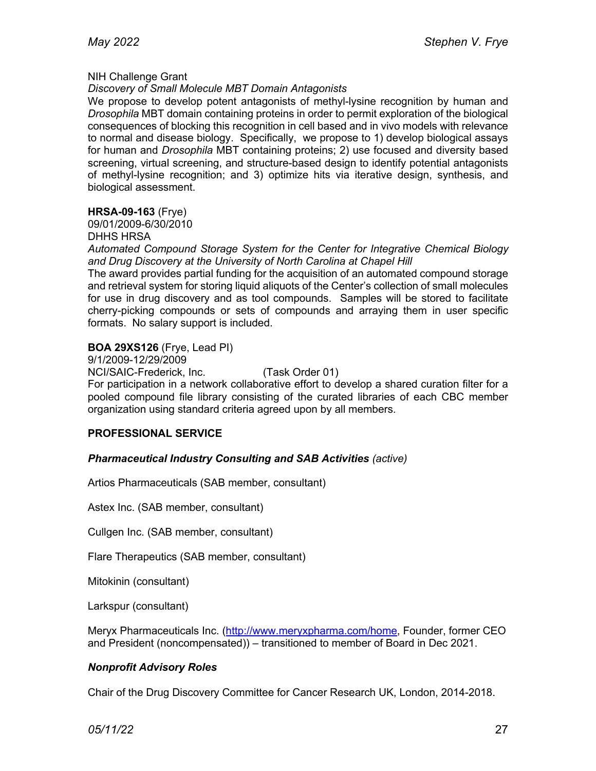#### NIH Challenge Grant

#### *Discovery of Small Molecule MBT Domain Antagonists*

We propose to develop potent antagonists of methyl-lysine recognition by human and *Drosophila* MBT domain containing proteins in order to permit exploration of the biological consequences of blocking this recognition in cell based and in vivo models with relevance to normal and disease biology. Specifically, we propose to 1) develop biological assays for human and *Drosophila* MBT containing proteins; 2) use focused and diversity based screening, virtual screening, and structure-based design to identify potential antagonists of methyl-lysine recognition; and 3) optimize hits via iterative design, synthesis, and biological assessment.

### **HRSA-09-163** (Frye)

09/01/2009-6/30/2010 DHHS HRSA

*Automated Compound Storage System for the Center for Integrative Chemical Biology and Drug Discovery at the University of North Carolina at Chapel Hill*

The award provides partial funding for the acquisition of an automated compound storage and retrieval system for storing liquid aliquots of the Center's collection of small molecules for use in drug discovery and as tool compounds. Samples will be stored to facilitate cherry-picking compounds or sets of compounds and arraying them in user specific formats. No salary support is included.

#### **BOA 29XS126** (Frye, Lead PI)

9/1/2009-12/29/2009

NCI/SAIC-Frederick, Inc. (Task Order 01)

For participation in a network collaborative effort to develop a shared curation filter for a pooled compound file library consisting of the curated libraries of each CBC member organization using standard criteria agreed upon by all members.

### **PROFESSIONAL SERVICE**

### *Pharmaceutical Industry Consulting and SAB Activities (active)*

Artios Pharmaceuticals (SAB member, consultant)

Astex Inc. (SAB member, consultant)

Cullgen Inc. (SAB member, consultant)

Flare Therapeutics (SAB member, consultant)

Mitokinin (consultant)

Larkspur (consultant)

Meryx Pharmaceuticals Inc. (http://www.meryxpharma.com/home, Founder, former CEO and President (noncompensated)) – transitioned to member of Board in Dec 2021.

### *Nonprofit Advisory Roles*

Chair of the Drug Discovery Committee for Cancer Research UK, London, 2014-2018.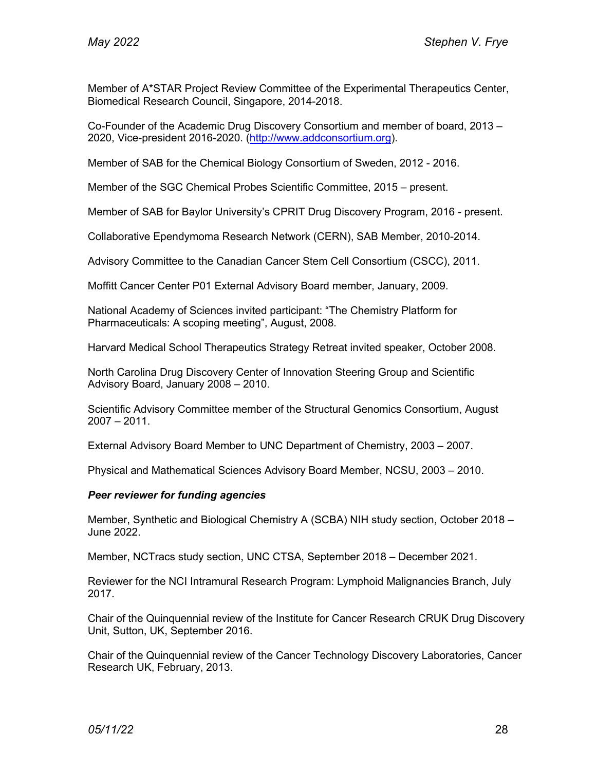Member of A\*STAR Project Review Committee of the Experimental Therapeutics Center, Biomedical Research Council, Singapore, 2014-2018.

Co-Founder of the Academic Drug Discovery Consortium and member of board, 2013 – 2020, Vice-president 2016-2020. (http://www.addconsortium.org).

Member of SAB for the Chemical Biology Consortium of Sweden, 2012 - 2016.

Member of the SGC Chemical Probes Scientific Committee, 2015 – present.

Member of SAB for Baylor University's CPRIT Drug Discovery Program, 2016 - present.

Collaborative Ependymoma Research Network (CERN), SAB Member, 2010-2014.

Advisory Committee to the Canadian Cancer Stem Cell Consortium (CSCC), 2011.

Moffitt Cancer Center P01 External Advisory Board member, January, 2009.

National Academy of Sciences invited participant: "The Chemistry Platform for Pharmaceuticals: A scoping meeting", August, 2008.

Harvard Medical School Therapeutics Strategy Retreat invited speaker, October 2008.

North Carolina Drug Discovery Center of Innovation Steering Group and Scientific Advisory Board, January 2008 – 2010.

Scientific Advisory Committee member of the Structural Genomics Consortium, August 2007 – 2011.

External Advisory Board Member to UNC Department of Chemistry, 2003 – 2007.

Physical and Mathematical Sciences Advisory Board Member, NCSU, 2003 – 2010.

#### *Peer reviewer for funding agencies*

Member, Synthetic and Biological Chemistry A (SCBA) NIH study section, October 2018 – June 2022.

Member, NCTracs study section, UNC CTSA, September 2018 – December 2021.

Reviewer for the NCI Intramural Research Program: Lymphoid Malignancies Branch, July 2017.

Chair of the Quinquennial review of the Institute for Cancer Research CRUK Drug Discovery Unit, Sutton, UK, September 2016.

Chair of the Quinquennial review of the Cancer Technology Discovery Laboratories, Cancer Research UK, February, 2013.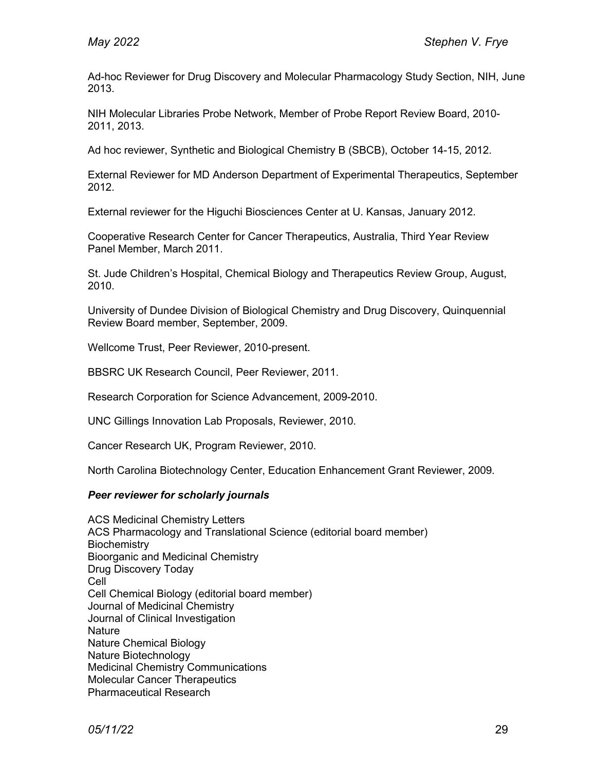Ad-hoc Reviewer for Drug Discovery and Molecular Pharmacology Study Section, NIH, June 2013.

NIH Molecular Libraries Probe Network, Member of Probe Report Review Board, 2010- 2011, 2013.

Ad hoc reviewer, Synthetic and Biological Chemistry B (SBCB), October 14-15, 2012.

External Reviewer for MD Anderson Department of Experimental Therapeutics, September 2012.

External reviewer for the Higuchi Biosciences Center at U. Kansas, January 2012.

Cooperative Research Center for Cancer Therapeutics, Australia, Third Year Review Panel Member, March 2011.

St. Jude Children's Hospital, Chemical Biology and Therapeutics Review Group, August, 2010.

University of Dundee Division of Biological Chemistry and Drug Discovery, Quinquennial Review Board member, September, 2009.

Wellcome Trust, Peer Reviewer, 2010-present.

BBSRC UK Research Council, Peer Reviewer, 2011.

Research Corporation for Science Advancement, 2009-2010.

UNC Gillings Innovation Lab Proposals, Reviewer, 2010.

Cancer Research UK, Program Reviewer, 2010.

North Carolina Biotechnology Center, Education Enhancement Grant Reviewer, 2009.

#### *Peer reviewer for scholarly journals*

ACS Medicinal Chemistry Letters ACS Pharmacology and Translational Science (editorial board member) **Biochemistry** Bioorganic and Medicinal Chemistry Drug Discovery Today Cell Cell Chemical Biology (editorial board member) Journal of Medicinal Chemistry Journal of Clinical Investigation **Nature** Nature Chemical Biology Nature Biotechnology Medicinal Chemistry Communications Molecular Cancer Therapeutics Pharmaceutical Research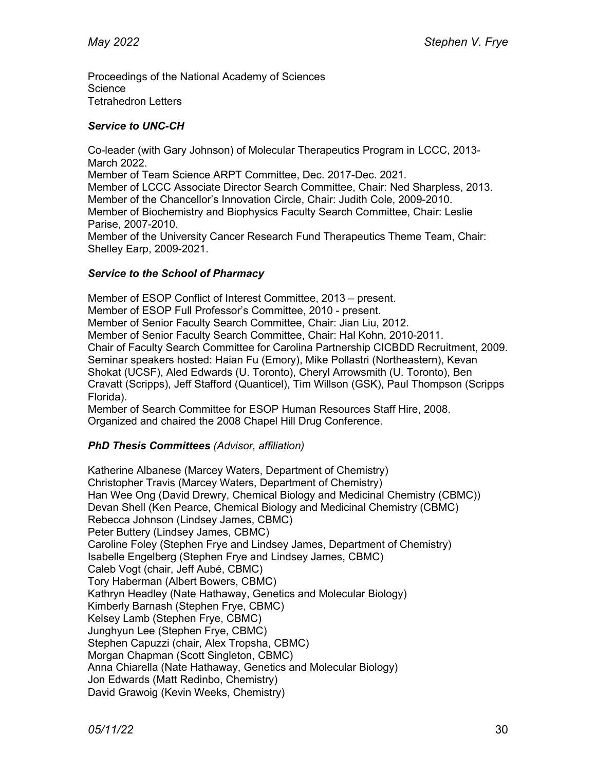Proceedings of the National Academy of Sciences **Science** Tetrahedron Letters

## *Service to UNC-CH*

Co-leader (with Gary Johnson) of Molecular Therapeutics Program in LCCC, 2013- March 2022.

Member of Team Science ARPT Committee, Dec. 2017-Dec. 2021.

Member of LCCC Associate Director Search Committee, Chair: Ned Sharpless, 2013. Member of the Chancellor's Innovation Circle, Chair: Judith Cole, 2009-2010. Member of Biochemistry and Biophysics Faculty Search Committee, Chair: Leslie Parise, 2007-2010.

Member of the University Cancer Research Fund Therapeutics Theme Team, Chair: Shelley Earp, 2009-2021.

## *Service to the School of Pharmacy*

Member of ESOP Conflict of Interest Committee, 2013 – present. Member of ESOP Full Professor's Committee, 2010 - present. Member of Senior Faculty Search Committee, Chair: Jian Liu, 2012. Member of Senior Faculty Search Committee, Chair: Hal Kohn, 2010-2011. Chair of Faculty Search Committee for Carolina Partnership CICBDD Recruitment, 2009. Seminar speakers hosted: Haian Fu (Emory), Mike Pollastri (Northeastern), Kevan Shokat (UCSF), Aled Edwards (U. Toronto), Cheryl Arrowsmith (U. Toronto), Ben Cravatt (Scripps), Jeff Stafford (Quanticel), Tim Willson (GSK), Paul Thompson (Scripps Florida).

Member of Search Committee for ESOP Human Resources Staff Hire, 2008. Organized and chaired the 2008 Chapel Hill Drug Conference.

## *PhD Thesis Committees (Advisor, affiliation)*

Katherine Albanese (Marcey Waters, Department of Chemistry) Christopher Travis (Marcey Waters, Department of Chemistry) Han Wee Ong (David Drewry, Chemical Biology and Medicinal Chemistry (CBMC)) Devan Shell (Ken Pearce, Chemical Biology and Medicinal Chemistry (CBMC) Rebecca Johnson (Lindsey James, CBMC) Peter Buttery (Lindsey James, CBMC) Caroline Foley (Stephen Frye and Lindsey James, Department of Chemistry) Isabelle Engelberg (Stephen Frye and Lindsey James, CBMC) Caleb Vogt (chair, Jeff Aubé, CBMC) Tory Haberman (Albert Bowers, CBMC) Kathryn Headley (Nate Hathaway, Genetics and Molecular Biology) Kimberly Barnash (Stephen Frye, CBMC) Kelsey Lamb (Stephen Frye, CBMC) Junghyun Lee (Stephen Frye, CBMC) Stephen Capuzzi (chair, Alex Tropsha, CBMC) Morgan Chapman (Scott Singleton, CBMC) Anna Chiarella (Nate Hathaway, Genetics and Molecular Biology) Jon Edwards (Matt Redinbo, Chemistry) David Grawoig (Kevin Weeks, Chemistry)